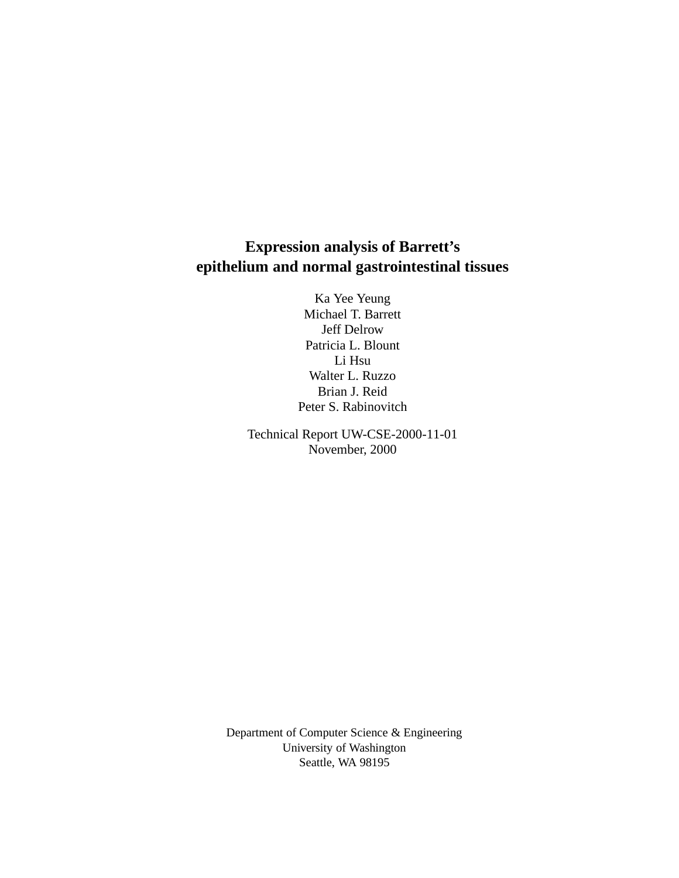# **Expression analysis of Barrett's epithelium and normal gastrointestinal tissues**

Ka Yee Yeung Michael T. Barrett Jeff Delrow Patricia L. Blount Li Hsu Walter L. Ruzzo Brian J. Reid Peter S. Rabinovitch

Technical Report UW-CSE-2000-11-01 November, 2000

Department of Computer Science & Engineering University of Washington Seattle, WA 98195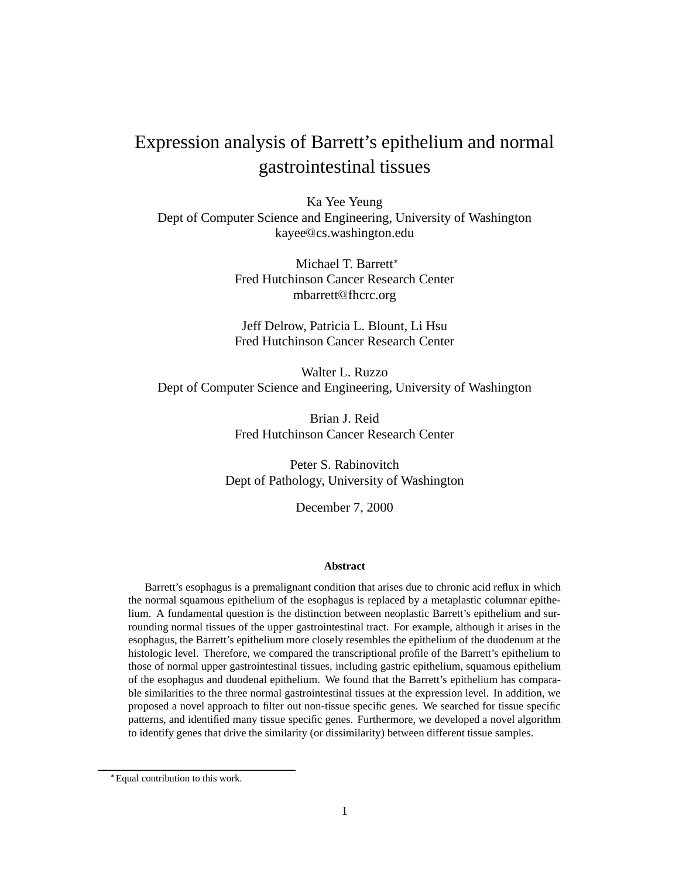# Expression analysis of Barrett's epithelium and normal gastrointestinal tissues

Ka Yee Yeung Dept of Computer Science and Engineering, University of Washington kayee cs.washington.edu

> Michael T. Barrett Fred Hutchinson Cancer Research Center mbarrett fhcrc.org

> Jeff Delrow, Patricia L. Blount, Li Hsu Fred Hutchinson Cancer Research Center

Walter L. Ruzzo Dept of Computer Science and Engineering, University of Washington

> Brian J. Reid Fred Hutchinson Cancer Research Center

Peter S. Rabinovitch Dept of Pathology, University of Washington

December 7, 2000

### **Abstract**

Barrett's esophagus is a premalignant condition that arises due to chronic acid reflux in which the normal squamous epithelium of the esophagus is replaced by a metaplastic columnar epithelium. A fundamental question is the distinction between neoplastic Barrett's epithelium and surrounding normal tissues of the upper gastrointestinal tract. For example, although it arises in the esophagus, the Barrett's epithelium more closely resembles the epithelium of the duodenum at the histologic level. Therefore, we compared the transcriptional profile of the Barrett's epithelium to those of normal upper gastrointestinal tissues, including gastric epithelium, squamous epithelium of the esophagus and duodenal epithelium. We found that the Barrett's epithelium has comparable similarities to the three normal gastrointestinal tissues at the expression level. In addition, we proposed a novel approach to filter out non-tissue specific genes. We searched for tissue specific patterns, and identified many tissue specific genes. Furthermore, we developed a novel algorithm to identify genes that drive the similarity (or dissimilarity) between different tissue samples.

<sup>-</sup> Equal contribution to this work.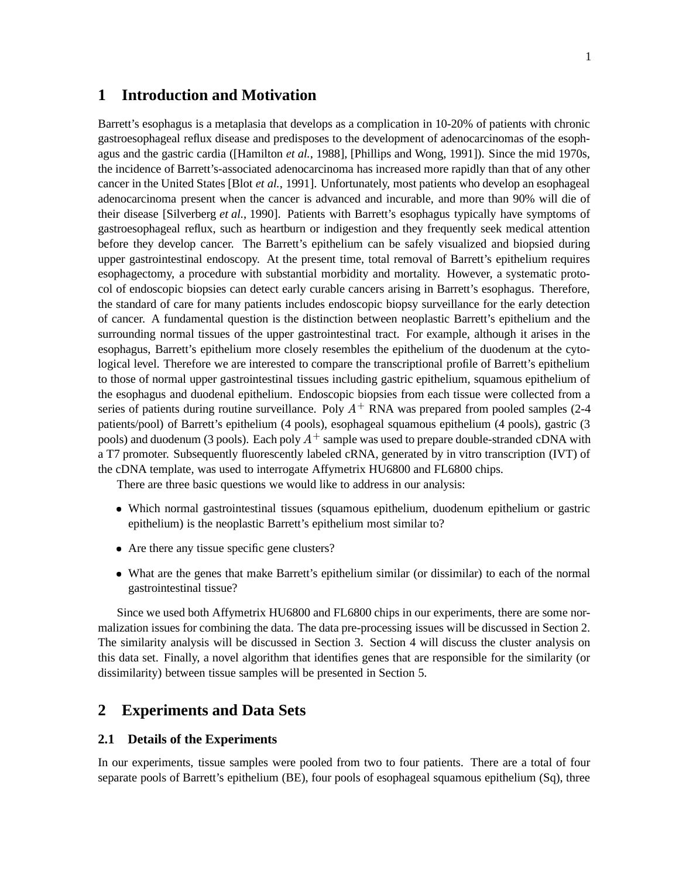# **1 Introduction and Motivation**

Barrett's esophagus is a metaplasia that develops as a complication in 10-20% of patients with chronic gastroesophageal reflux disease and predisposes to the development of adenocarcinomas of the esophagus and the gastric cardia ([Hamilton *et al.*, 1988], [Phillips and Wong, 1991]). Since the mid 1970s, the incidence of Barrett's-associated adenocarcinoma has increased more rapidly than that of any other cancer in the United States [Blot *et al.*, 1991]. Unfortunately, most patients who develop an esophageal adenocarcinoma present when the cancer is advanced and incurable, and more than 90% will die of their disease [Silverberg *et al.*, 1990]. Patients with Barrett's esophagus typically have symptoms of gastroesophageal reflux, such as heartburn or indigestion and they frequently seek medical attention before they develop cancer. The Barrett's epithelium can be safely visualized and biopsied during upper gastrointestinal endoscopy. At the present time, total removal of Barrett's epithelium requires esophagectomy, a procedure with substantial morbidity and mortality. However, a systematic protocol of endoscopic biopsies can detect early curable cancers arising in Barrett's esophagus. Therefore, the standard of care for many patients includes endoscopic biopsy surveillance for the early detection of cancer. A fundamental question is the distinction between neoplastic Barrett's epithelium and the surrounding normal tissues of the upper gastrointestinal tract. For example, although it arises in the esophagus, Barrett's epithelium more closely resembles the epithelium of the duodenum at the cytological level. Therefore we are interested to compare the transcriptional profile of Barrett's epithelium to those of normal upper gastrointestinal tissues including gastric epithelium, squamous epithelium of the esophagus and duodenal epithelium. Endoscopic biopsies from each tissue were collected from a series of patients during routine surveillance. Poly  $A^+$  RNA was prepared from pooled samples (2-4 patients/pool) of Barrett's epithelium (4 pools), esophageal squamous epithelium (4 pools), gastric (3 pools) and duodenum (3 pools). Each poly  $A^+$  sample was used to prepare double-stranded cDNA with a T7 promoter. Subsequently fluorescently labeled cRNA, generated by in vitro transcription (IVT) of the cDNA template, was used to interrogate Affymetrix HU6800 and FL6800 chips.

There are three basic questions we would like to address in our analysis:

- Which normal gastrointestinal tissues (squamous epithelium, duodenum epithelium or gastric epithelium) is the neoplastic Barrett's epithelium most similar to?
- Are there any tissue specific gene clusters?
- What are the genes that make Barrett's epithelium similar (or dissimilar) to each of the normal gastrointestinal tissue?

Since we used both Affymetrix HU6800 and FL6800 chips in our experiments, there are some normalization issues for combining the data. The data pre-processing issues will be discussed in Section 2. The similarity analysis will be discussed in Section 3. Section 4 will discuss the cluster analysis on this data set. Finally, a novel algorithm that identifies genes that are responsible for the similarity (or dissimilarity) between tissue samples will be presented in Section 5.

# **2 Experiments and Data Sets**

### **2.1 Details of the Experiments**

In our experiments, tissue samples were pooled from two to four patients. There are a total of four separate pools of Barrett's epithelium (BE), four pools of esophageal squamous epithelium (Sq), three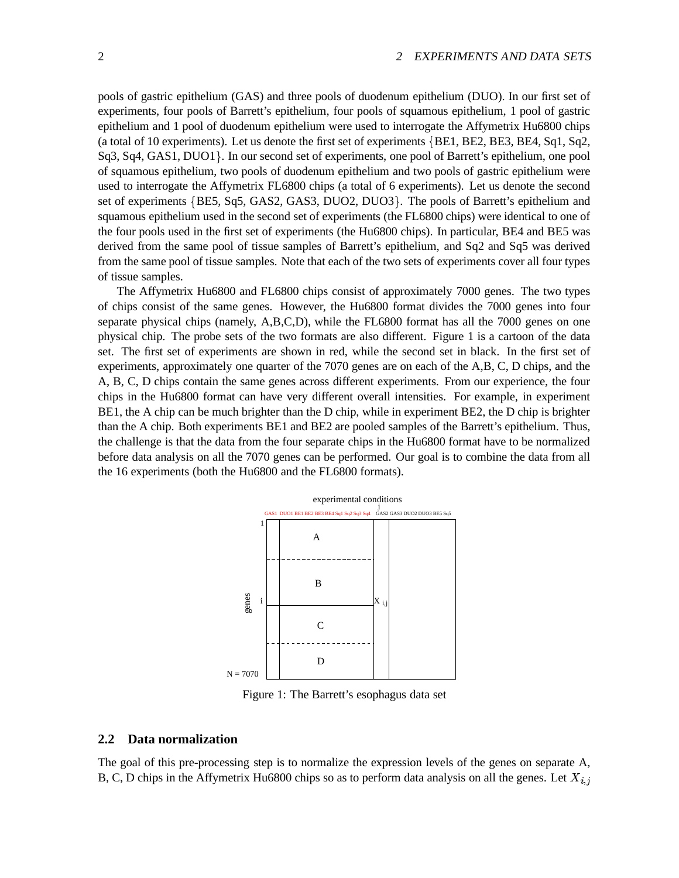pools of gastric epithelium (GAS) and three pools of duodenum epithelium (DUO). In our first set of experiments, four pools of Barrett's epithelium, four pools of squamous epithelium, 1 pool of gastric epithelium and 1 pool of duodenum epithelium were used to interrogate the Affymetrix Hu6800 chips (a total of 10 experiments). Let us denote the first set of experiments BE1, BE2, BE3, BE4, Sq1, Sq2, Sq3, Sq4, GAS1, DUO1. In our second set of experiments, one pool of Barrett's epithelium, one pool of squamous epithelium, two pools of duodenum epithelium and two pools of gastric epithelium were used to interrogate the Affymetrix FL6800 chips (a total of 6 experiments). Let us denote the second set of experiments {BE5, Sq5, GAS2, GAS3, DUO2, DUO3}. The pools of Barrett's epithelium and squamous epithelium used in the second set of experiments (the FL6800 chips) were identical to one of the four pools used in the first set of experiments (the Hu6800 chips). In particular, BE4 and BE5 was derived from the same pool of tissue samples of Barrett's epithelium, and Sq2 and Sq5 was derived from the same pool of tissue samples. Note that each of the two sets of experiments cover all four types of tissue samples.

The Affymetrix Hu6800 and FL6800 chips consist of approximately 7000 genes. The two types of chips consist of the same genes. However, the Hu6800 format divides the 7000 genes into four separate physical chips (namely, A,B,C,D), while the FL6800 format has all the 7000 genes on one physical chip. The probe sets of the two formats are also different. Figure 1 is a cartoon of the data set. The first set of experiments are shown in red, while the second set in black. In the first set of experiments, approximately one quarter of the 7070 genes are on each of the A,B, C, D chips, and the A, B, C, D chips contain the same genes across different experiments. From our experience, the four chips in the Hu6800 format can have very different overall intensities. For example, in experiment BE1, the A chip can be much brighter than the D chip, while in experiment BE2, the D chip is brighter than the A chip. Both experiments BE1 and BE2 are pooled samples of the Barrett's epithelium. Thus, the challenge is that the data from the four separate chips in the Hu6800 format have to be normalized before data analysis on all the 7070 genes can be performed. Our goal is to combine the data from all the 16 experiments (both the Hu6800 and the FL6800 formats).



Figure 1: The Barrett's esophagus data set

### **2.2 Data normalization**

The goal of this pre-processing step is to normalize the expression levels of the genes on separate A, B, C, D chips in the Affymetrix Hu6800 chips so as to perform data analysis on all the genes. Let  $X_i$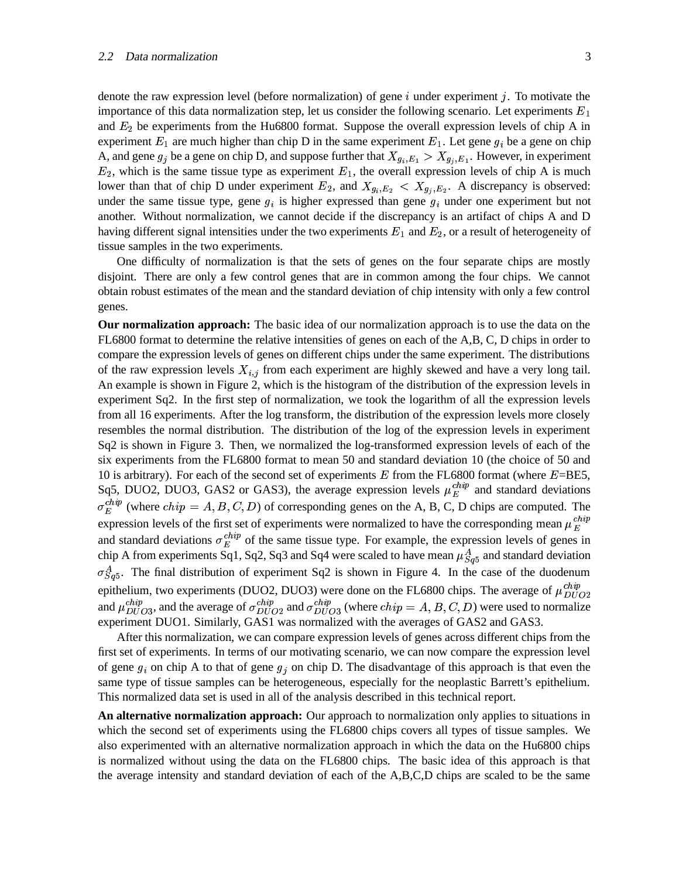denote the raw expression level (before normalization) of gene  $i$  under experiment  $j$ . To motivate the importance of this data normalization step, let us consider the following scenario. Let experiments  $E_1$ and  $E_2$  be experiments from the Hu6800 format. Suppose the overall expression levels of chip A in experiment  $E_1$  are much higher than chip D in the same experiment  $E_1$ . Let gene  $g_i$  be a gene on chip A, and gene  $g_i$  be a gene on chip D, and suppose further that  $X_{q_i,E_1} > X_{q_i,E_1}$ . However, in experiment  $E_2$ , which is the same tissue type as experiment  $E_1$ , the overall expression levels of chip A is much lower than that of chip D under experiment  $E_2$ , and  $X_{q_i,E_2} < X_{q_i,E_2}$ . A discrepancy is observed: under the same tissue type, gene  $q_i$  is higher expressed than gene  $q_i$  under one experiment but not another. Without normalization, we cannot decide if the discrepancy is an artifact of chips A and D having different signal intensities under the two experiments  $E_1$  and  $E_2$ , or a result of heterogeneity of tissue samples in the two experiments.

One difficulty of normalization is that the sets of genes on the four separate chips are mostly disjoint. There are only a few control genes that are in common among the four chips. We cannot obtain robust estimates of the mean and the standard deviation of chip intensity with only a few control genes.

**Our normalization approach:** The basic idea of our normalization approach is to use the data on the FL6800 format to determine the relative intensities of genes on each of the A,B, C, D chips in order to compare the expression levels of genes on different chips under the same experiment. The distributions of the raw expression levels  $X_{i,j}$  from each experiment are highly skewed and have a very long tail. An example is shown in Figure 2, which is the histogram of the distribution of the expression levels in experiment Sq2. In the first step of normalization, we took the logarithm of all the expression levels from all 16 experiments. After the log transform, the distribution of the expression levels more closely resembles the normal distribution. The distribution of the log of the expression levels in experiment Sq2 is shown in Figure 3. Then, we normalized the log-transformed expression levels of each of the six experiments from the FL6800 format to mean 50 and standard deviation 10 (the choice of 50 and 10 is arbitrary). For each of the second set of experiments  $E$  from the FL6800 format (where  $E = BE5$ , Sq5, DUO2, DUO3, GAS2 or GAS3), the average expression levels  $\mu_E^{c n p}$  and standard deviations  $\sigma_E^{cnp}$  (where  $chip = A, B, C, D$ ) of corresponding genes on the A, B, C, D chips are computed. The expression levels of the first set of experiments were normalized to have the corresponding mean  $\mu_E^{c n p}$ and standard deviations  $\sigma_E^{cusp}$  of the same tissue type. For example, the expression levels of genes in chip A from experiments Sq1, Sq2, Sq3 and Sq4 were scaled to have mean  $\mu_{Sq5}^{A}$  and standard deviation  $\sigma_{Sa5}^{A}$ . The final distribution of experiment Sq2 is shown in Figure 4. In the case of the duodenum epithelium, two experiments (DUO2, DUO3) were done on the FL6800 chips. The average of  $\mu_{DILO2}^{cusp}$ and  $\mu_{DI/O3}^{cmp}$ , and the average of  $\sigma_{DIIO3}^{cmp}$  and  $\sigma_{DIIO3}^{cmp}$  (where  $chip = A, B, C, D$ ) were used to normalize experiment DUO1. Similarly, GAS1 was normalized with the averages of GAS2 and GAS3.

After this normalization, we can compare expression levels of genes across different chips from the first set of experiments. In terms of our motivating scenario, we can now compare the expression level of gene  $g_i$  on chip A to that of gene  $g_i$  on chip D. The disadvantage of this approach is that even the same type of tissue samples can be heterogeneous, especially for the neoplastic Barrett's epithelium. This normalized data set is used in all of the analysis described in this technical report.

**An alternative normalization approach:** Our approach to normalization only applies to situations in which the second set of experiments using the FL6800 chips covers all types of tissue samples. We also experimented with an alternative normalization approach in which the data on the Hu6800 chips is normalized without using the data on the FL6800 chips. The basic idea of this approach is that the average intensity and standard deviation of each of the A,B,C,D chips are scaled to be the same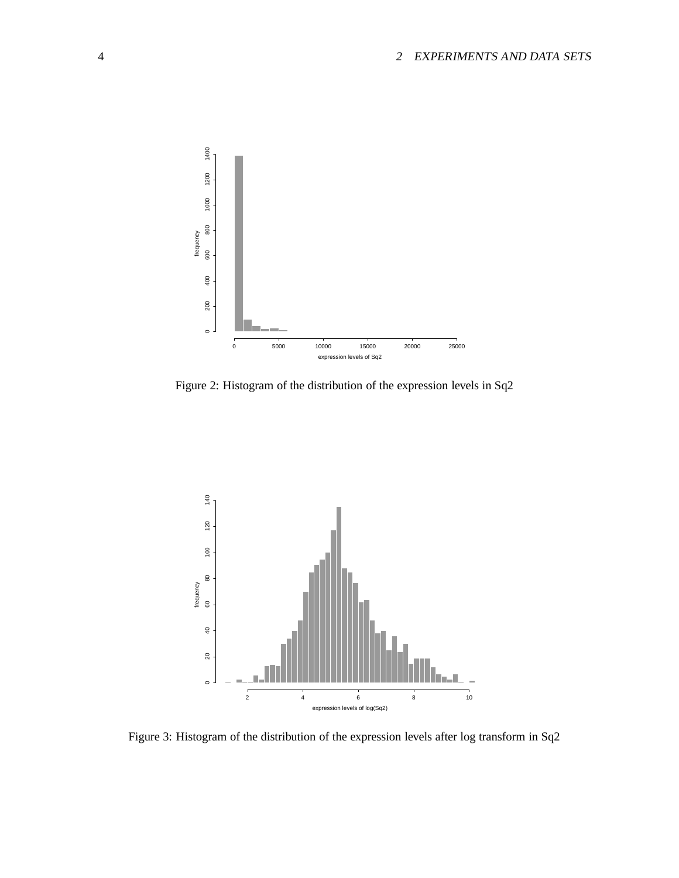

Figure 2: Histogram of the distribution of the expression levels in Sq2



Figure 3: Histogram of the distribution of the expression levels after log transform in Sq2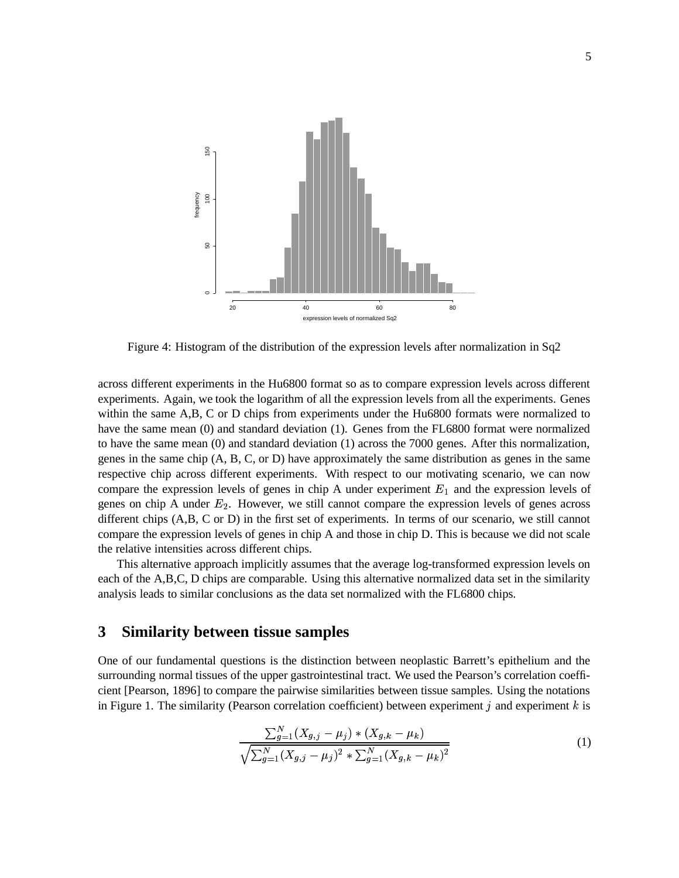

Figure 4: Histogram of the distribution of the expression levels after normalization in Sq2

across different experiments in the Hu6800 format so as to compare expression levels across different experiments. Again, we took the logarithm of all the expression levels from all the experiments. Genes within the same A,B, C or D chips from experiments under the Hu6800 formats were normalized to have the same mean (0) and standard deviation (1). Genes from the FL6800 format were normalized to have the same mean (0) and standard deviation (1) across the 7000 genes. After this normalization, genes in the same chip (A, B, C, or D) have approximately the same distribution as genes in the same respective chip across different experiments. With respect to our motivating scenario, we can now compare the expression levels of genes in chip A under experiment  $E_1$  and the expression levels of genes on chip A under  $E_2$ . However, we still cannot compare the expression levels of genes across different chips (A,B, C or D) in the first set of experiments. In terms of our scenario, we still cannot compare the expression levels of genes in chip A and those in chip D. This is because we did not scale the relative intensities across different chips.

This alternative approach implicitly assumes that the average log-transformed expression levels on each of the A,B,C, D chips are comparable. Using this alternative normalized data set in the similarity analysis leads to similar conclusions as the data set normalized with the FL6800 chips.

# **3 Similarity between tissue samples**

One of our fundamental questions is the distinction between neoplastic Barrett's epithelium and the surrounding normal tissues of the upper gastrointestinal tract. We used the Pearson's correlation coefficient [Pearson, 1896] to compare the pairwise similarities between tissue samples. Using the notations in Figure 1. The similarity (Pearson correlation coefficient) between experiment  $j$  and experiment  $k$  is

$$
\frac{\sum_{g=1}^{N} (X_{g,j} - \mu_j) * (X_{g,k} - \mu_k)}{\sqrt{\sum_{g=1}^{N} (X_{g,j} - \mu_j)^2 * \sum_{g=1}^{N} (X_{g,k} - \mu_k)^2}}
$$
(1)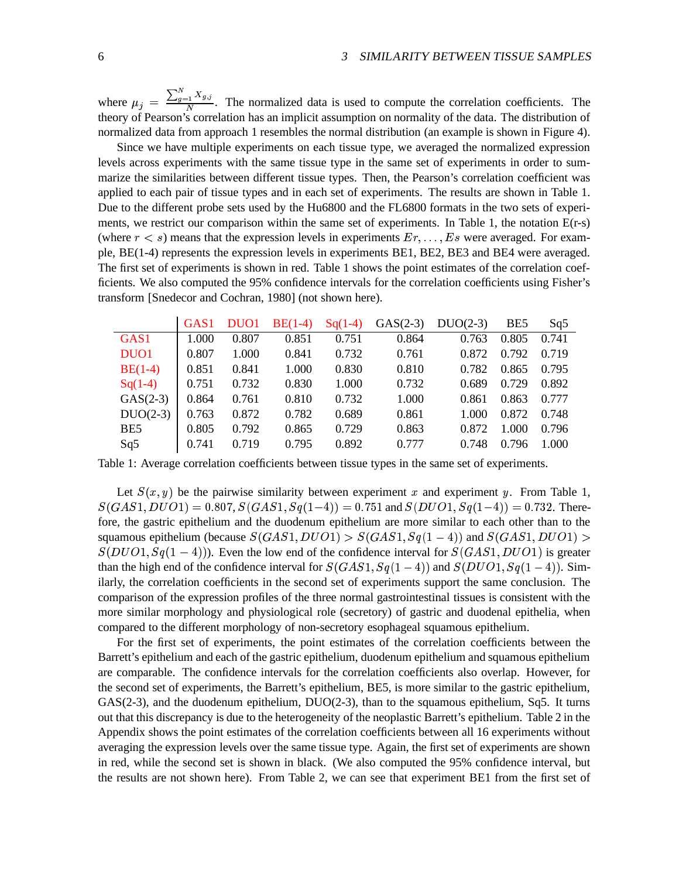where  $\mu_j = \frac{\sum_{g=1}^{N} X_{g,j}}{N}$ . The  $\sum_{q=1}^{N} X_{q,j}$  $\frac{1}{N}$ . The normalized data is used to compute the correlation coefficients. The theory of Pearson's correlation has an implicit assumption on normality of the data. The distribution of normalized data from approach 1 resembles the normal distribution (an example is shown in Figure 4).

Since we have multiple experiments on each tissue type, we averaged the normalized expression levels across experiments with the same tissue type in the same set of experiments in order to summarize the similarities between different tissue types. Then, the Pearson's correlation coefficient was applied to each pair of tissue types and in each set of experiments. The results are shown in Table 1. Due to the different probe sets used by the Hu6800 and the FL6800 formats in the two sets of experiments, we restrict our comparison within the same set of experiments. In Table 1, the notation E(r-s) (where  $r < s$ ) means that the expression levels in experiments  $Er, \ldots, Es$  were averaged. For example, BE(1-4) represents the expression levels in experiments BE1, BE2, BE3 and BE4 were averaged. The first set of experiments is shown in red. Table 1 shows the point estimates of the correlation coefficients. We also computed the 95% confidence intervals for the correlation coefficients using Fisher's transform [Snedecor and Cochran, 1980] (not shown here).

|                  | GAS <sub>1</sub> | DUO1  | $BE(1-4)$ | $Sq(1-4)$ | $GAS(2-3)$ | $DUO(2-3)$ | BE5   | Sq5   |
|------------------|------------------|-------|-----------|-----------|------------|------------|-------|-------|
| GAS <sub>1</sub> | 1.000            | 0.807 | 0.851     | 0.751     | 0.864      | 0.763      | 0.805 | 0.741 |
| DUO1             | 0.807            | 1.000 | 0.841     | 0.732     | 0.761      | 0.872      | 0.792 | 0.719 |
| $BE(1-4)$        | 0.851            | 0.841 | 1.000     | 0.830     | 0.810      | 0.782      | 0.865 | 0.795 |
| $Sq(1-4)$        | 0.751            | 0.732 | 0.830     | 1.000     | 0.732      | 0.689      | 0.729 | 0.892 |
| $GAS(2-3)$       | 0.864            | 0.761 | 0.810     | 0.732     | 1.000      | 0.861      | 0.863 | 0.777 |
| $DUO(2-3)$       | 0.763            | 0.872 | 0.782     | 0.689     | 0.861      | 1.000      | 0.872 | 0.748 |
| BE <sub>5</sub>  | 0.805            | 0.792 | 0.865     | 0.729     | 0.863      | 0.872      | 1.000 | 0.796 |
| Sq5              | 0.741            | 0.719 | 0.795     | 0.892     | 0.777      | 0.748      | 0.796 | 1.000 |

Table 1: Average correlation coefficients between tissue types in the same set of experiments.

Let  $S(x, y)$  be the pairwise similarity between experiment x and experiment y. From Table 1,  $\sqrt{2}$  and  $\sqrt{2}$  and  $\sqrt{2}$  and  $\sqrt{2}$  $AS1, DUO1) = 0.807, S(GAS1, Sq(1-4))$  $AS1, Sq(1-4)) = 0.751$  and  $S(DUO1, Sq(1-4)) = 0.732$ . Therefore, the gastric epithelium and the duodenum epithelium are more similar to each other than to the squamous epithelium (because  $S(GAS1,DUO1)$ )  $AS1,DUO1) > S(GAS1,Sq(1)$  $\sqrt{2}$  and  $\sqrt{2}$  and  $\sqrt{2}$  and  $\sqrt{2}$  $AS1, Sq(1-4)$  and  $S(GAS1, DUO1)$  :  $AS1,DUO1$  >  $S(DUO1, Sq(1-4))$ ). Even the low end of the confidence interval for  $S(GAS1, DUO1)$  is greater than the high end of the confidence interval for  $S(GAS1, Sq(1-4))$  $AS1, Sq(1-4)$  and  $S(DUO1, Sq(1-4))$ . Similarly, the correlation coefficients in the second set of experiments support the same conclusion. The comparison of the expression profiles of the three normal gastrointestinal tissues is consistent with the more similar morphology and physiological role (secretory) of gastric and duodenal epithelia, when compared to the different morphology of non-secretory esophageal squamous epithelium.

For the first set of experiments, the point estimates of the correlation coefficients between the Barrett's epithelium and each of the gastric epithelium, duodenum epithelium and squamous epithelium are comparable. The confidence intervals for the correlation coefficients also overlap. However, for the second set of experiments, the Barrett's epithelium, BE5, is more similar to the gastric epithelium, GAS(2-3), and the duodenum epithelium, DUO(2-3), than to the squamous epithelium, Sq5. It turns out that this discrepancy is due to the heterogeneity of the neoplastic Barrett's epithelium. Table 2 in the Appendix shows the point estimates of the correlation coefficients between all 16 experiments without averaging the expression levels over the same tissue type. Again, the first set of experiments are shown in red, while the second set is shown in black. (We also computed the 95% confidence interval, but the results are not shown here). From Table 2, we can see that experiment BE1 from the first set of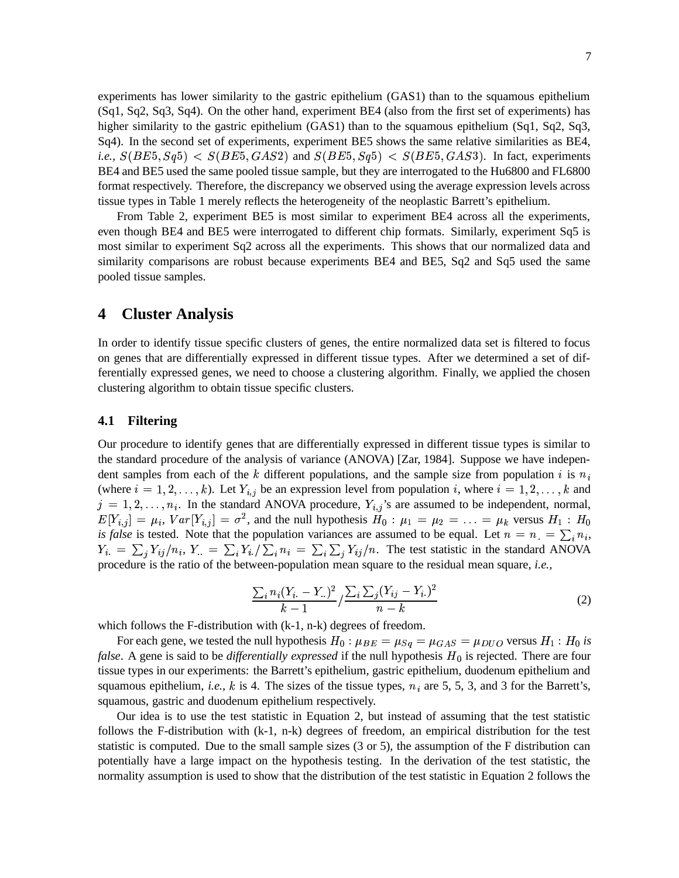experiments has lower similarity to the gastric epithelium (GAS1) than to the squamous epithelium (Sq1, Sq2, Sq3, Sq4). On the other hand, experiment BE4 (also from the first set of experiments) has higher similarity to the gastric epithelium (GAS1) than to the squamous epithelium (Sq1, Sq2, Sq3, Sq4). In the second set of experiments, experiment BE5 shows the same relative similarities as BE4, *i.e.,*  $S(BE5, Sq5) < S(BE5, GAS2)$  and S  $AS2)$  and  $S(BE5, Sq5) < S(BE5, GAS3)$ . In fa AS3). In fact, experiments BE4 and BE5 used the same pooled tissue sample, but they are interrogated to the Hu6800 and FL6800 format respectively. Therefore, the discrepancy we observed using the average expression levels across tissue types in Table 1 merely reflects the heterogeneity of the neoplastic Barrett's epithelium.

From Table 2, experiment BE5 is most similar to experiment BE4 across all the experiments, even though BE4 and BE5 were interrogated to different chip formats. Similarly, experiment Sq5 is most similar to experiment Sq2 across all the experiments. This shows that our normalized data and similarity comparisons are robust because experiments BE4 and BE5, Sq2 and Sq5 used the same pooled tissue samples.

# **4 Cluster Analysis**

In order to identify tissue specific clusters of genes, the entire normalized data set is filtered to focus on genes that are differentially expressed in different tissue types. After we determined a set of differentially expressed genes, we need to choose a clustering algorithm. Finally, we applied the chosen clustering algorithm to obtain tissue specific clusters.

### **4.1 Filtering**

Our procedure to identify genes that are differentially expressed in different tissue types is similar to the standard procedure of the analysis of variance (ANOVA) [Zar, 1984]. Suppose we have independent samples from each of the k different populations, and the sample size from population i is  $n_i$ (where  $i = 1, 2, ..., k$ ). Let  $Y_{i,j}$  be an expression level from population i, where  $i = 1, 2, ..., k$  and  $j = 1, 2, \ldots, n_i$ . In the standard ANOVA procedure,  $Y_{i,j}$ 's are assumed to be independent, normal,  $E[Y_{i,j}] = \mu_i$ ,  $Var[Y_{i,j}] = \sigma^2$ , and the null hypothesis  $H_0: \mu_1 = \mu_2 = \ldots = \mu_k$  versus  $H_1: H_0$ *is false* is tested. Note that the population variances are assumed to be equal. Let  $n = n = \sum_i n_i$ ,  $Y_i = \sum_i Y_{ij} / n_i$ ,  $Y_i = \sum_i Y_i / \sum_i n_i = \sum_i \sum_i Y_{ij} / n$ . The test statistic in the standard ANOVA procedure is the ratio of the between-population mean square to the residual mean square, *i.e.,*

$$
\frac{\sum_{i} n_i (Y_{i.} - Y_{..})^2}{k - 1} / \frac{\sum_{i} \sum_{j} (Y_{ij} - Y_{i.})^2}{n - k}
$$
 (2)

which follows the F-distribution with  $(k-1, n-k)$  degrees of freedom.

For each gene, we tested the null hypothesis  $H_0: \mu_{BE} = \mu_{Sq} = \mu_{GAS} = \mu_{DUO}$  versus  $H_1: H_0$  is *false.* A gene is said to be *differentially expressed* if the null hypothesis  $H_0$  is rejected. There are four tissue types in our experiments: the Barrett's epithelium, gastric epithelium, duodenum epithelium and squamous epithelium, *i.e.*,  $k$  is 4. The sizes of the tissue types,  $n_i$  are 5, 5, 3, and 3 for the Barrett's, squamous, gastric and duodenum epithelium respectively.

Our idea is to use the test statistic in Equation 2, but instead of assuming that the test statistic follows the F-distribution with (k-1, n-k) degrees of freedom, an empirical distribution for the test statistic is computed. Due to the small sample sizes (3 or 5), the assumption of the F distribution can potentially have a large impact on the hypothesis testing. In the derivation of the test statistic, the normality assumption is used to show that the distribution of the test statistic in Equation 2 follows the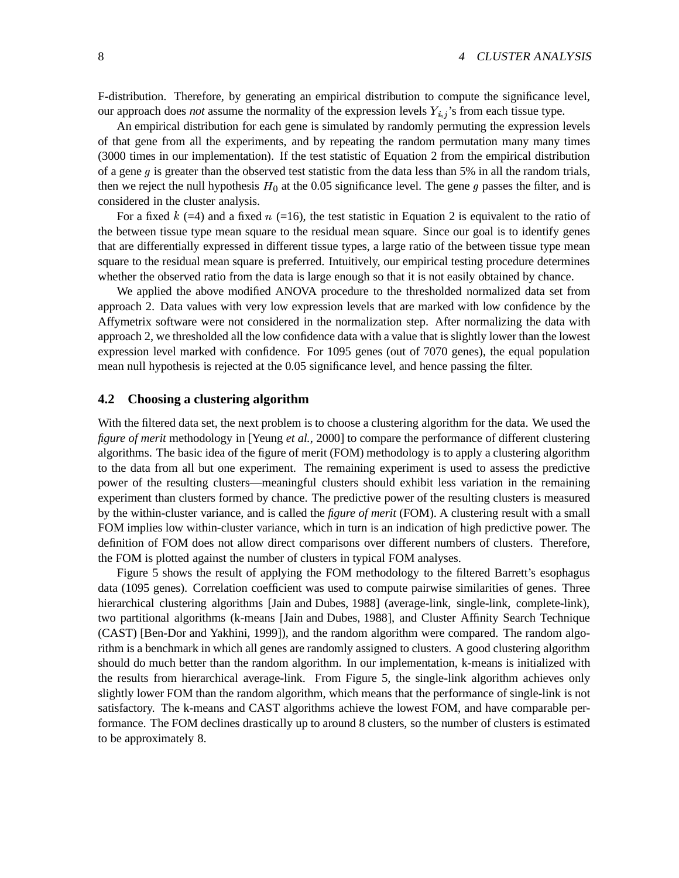F-distribution. Therefore, by generating an empirical distribution to compute the significance level, our approach does *not* assume the normality of the expression levels  $Y_{i,j}$ 's from each tissue type.

An empirical distribution for each gene is simulated by randomly permuting the expression levels of that gene from all the experiments, and by repeating the random permutation many many times (3000 times in our implementation). If the test statistic of Equation 2 from the empirical distribution of a gene  $q$  is greater than the observed test statistic from the data less than 5% in all the random trials, then we reject the null hypothesis  $H_0$  at the 0.05 significance level. The gene g passes the filter, and is considered in the cluster analysis.

For a fixed  $k$  (=4) and a fixed  $n$  (=16), the test statistic in Equation 2 is equivalent to the ratio of the between tissue type mean square to the residual mean square. Since our goal is to identify genes that are differentially expressed in different tissue types, a large ratio of the between tissue type mean square to the residual mean square is preferred. Intuitively, our empirical testing procedure determines whether the observed ratio from the data is large enough so that it is not easily obtained by chance.

We applied the above modified ANOVA procedure to the thresholded normalized data set from approach 2. Data values with very low expression levels that are marked with low confidence by the Affymetrix software were not considered in the normalization step. After normalizing the data with approach 2, we thresholded all the low confidence data with a value that is slightly lower than the lowest expression level marked with confidence. For 1095 genes (out of 7070 genes), the equal population mean null hypothesis is rejected at the 0.05 significance level, and hence passing the filter.

### **4.2 Choosing a clustering algorithm**

With the filtered data set, the next problem is to choose a clustering algorithm for the data. We used the *figure of merit* methodology in [Yeung *et al.*, 2000] to compare the performance of different clustering algorithms. The basic idea of the figure of merit (FOM) methodology is to apply a clustering algorithm to the data from all but one experiment. The remaining experiment is used to assess the predictive power of the resulting clusters—meaningful clusters should exhibit less variation in the remaining experiment than clusters formed by chance. The predictive power of the resulting clusters is measured by the within-cluster variance, and is called the *figure of merit* (FOM). A clustering result with a small FOM implies low within-cluster variance, which in turn is an indication of high predictive power. The definition of FOM does not allow direct comparisons over different numbers of clusters. Therefore, the FOM is plotted against the number of clusters in typical FOM analyses.

Figure 5 shows the result of applying the FOM methodology to the filtered Barrett's esophagus data (1095 genes). Correlation coefficient was used to compute pairwise similarities of genes. Three hierarchical clustering algorithms [Jain and Dubes, 1988] (average-link, single-link, complete-link), two partitional algorithms (k-means [Jain and Dubes, 1988], and Cluster Affinity Search Technique (CAST) [Ben-Dor and Yakhini, 1999]), and the random algorithm were compared. The random algorithm is a benchmark in which all genes are randomly assigned to clusters. A good clustering algorithm should do much better than the random algorithm. In our implementation, k-means is initialized with the results from hierarchical average-link. From Figure 5, the single-link algorithm achieves only slightly lower FOM than the random algorithm, which means that the performance of single-link is not satisfactory. The k-means and CAST algorithms achieve the lowest FOM, and have comparable performance. The FOM declines drastically up to around 8 clusters, so the number of clusters is estimated to be approximately 8.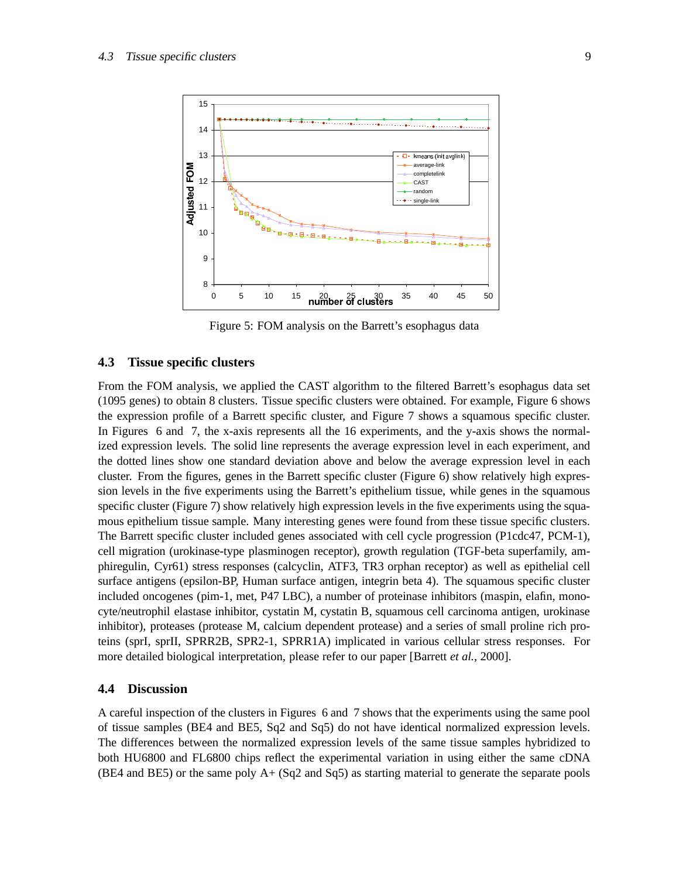

Figure 5: FOM analysis on the Barrett's esophagus data

#### **4.3 Tissue specific clusters**

From the FOM analysis, we applied the CAST algorithm to the filtered Barrett's esophagus data set (1095 genes) to obtain 8 clusters. Tissue specific clusters were obtained. For example, Figure 6 shows the expression profile of a Barrett specific cluster, and Figure 7 shows a squamous specific cluster. In Figures 6 and 7, the x-axis represents all the 16 experiments, and the y-axis shows the normalized expression levels. The solid line represents the average expression level in each experiment, and the dotted lines show one standard deviation above and below the average expression level in each cluster. From the figures, genes in the Barrett specific cluster (Figure 6) show relatively high expression levels in the five experiments using the Barrett's epithelium tissue, while genes in the squamous specific cluster (Figure 7) show relatively high expression levels in the five experiments using the squamous epithelium tissue sample. Many interesting genes were found from these tissue specific clusters. The Barrett specific cluster included genes associated with cell cycle progression (P1cdc47, PCM-1), cell migration (urokinase-type plasminogen receptor), growth regulation (TGF-beta superfamily, amphiregulin, Cyr61) stress responses (calcyclin, ATF3, TR3 orphan receptor) as well as epithelial cell surface antigens (epsilon-BP, Human surface antigen, integrin beta 4). The squamous specific cluster included oncogenes (pim-1, met, P47 LBC), a number of proteinase inhibitors (maspin, elafin, monocyte/neutrophil elastase inhibitor, cystatin M, cystatin B, squamous cell carcinoma antigen, urokinase inhibitor), proteases (protease M, calcium dependent protease) and a series of small proline rich proteins (sprI, sprII, SPRR2B, SPR2-1, SPRR1A) implicated in various cellular stress responses. For more detailed biological interpretation, please refer to our paper [Barrett *et al.*, 2000].

### **4.4 Discussion**

A careful inspection of the clusters in Figures 6 and 7 shows that the experiments using the same pool of tissue samples (BE4 and BE5, Sq2 and Sq5) do not have identical normalized expression levels. The differences between the normalized expression levels of the same tissue samples hybridized to both HU6800 and FL6800 chips reflect the experimental variation in using either the same cDNA (BE4 and BE5) or the same poly A+ (Sq2 and Sq5) as starting material to generate the separate pools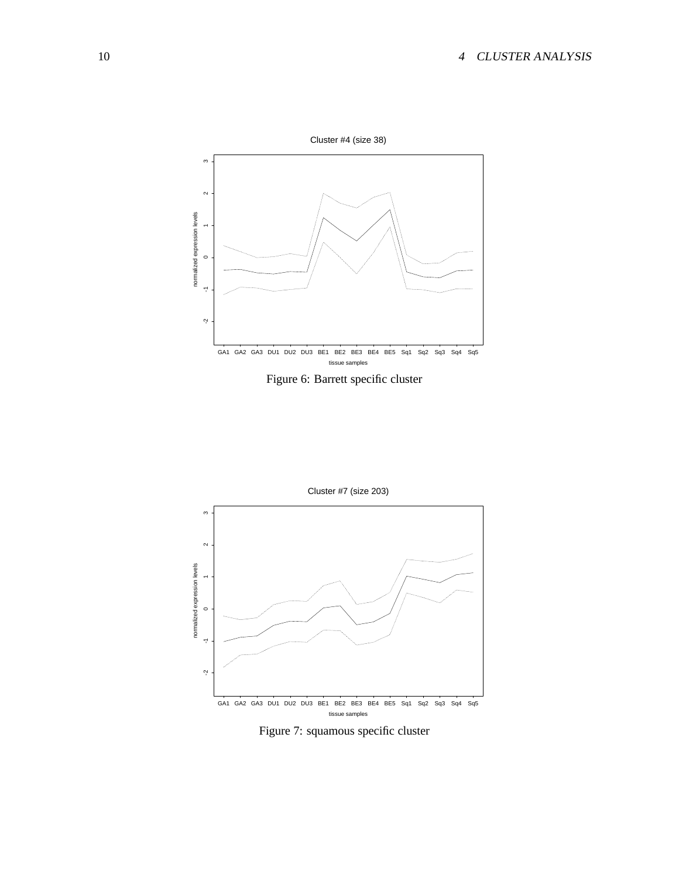

Figure 6: Barrett specific cluster



Figure 7: squamous specific cluster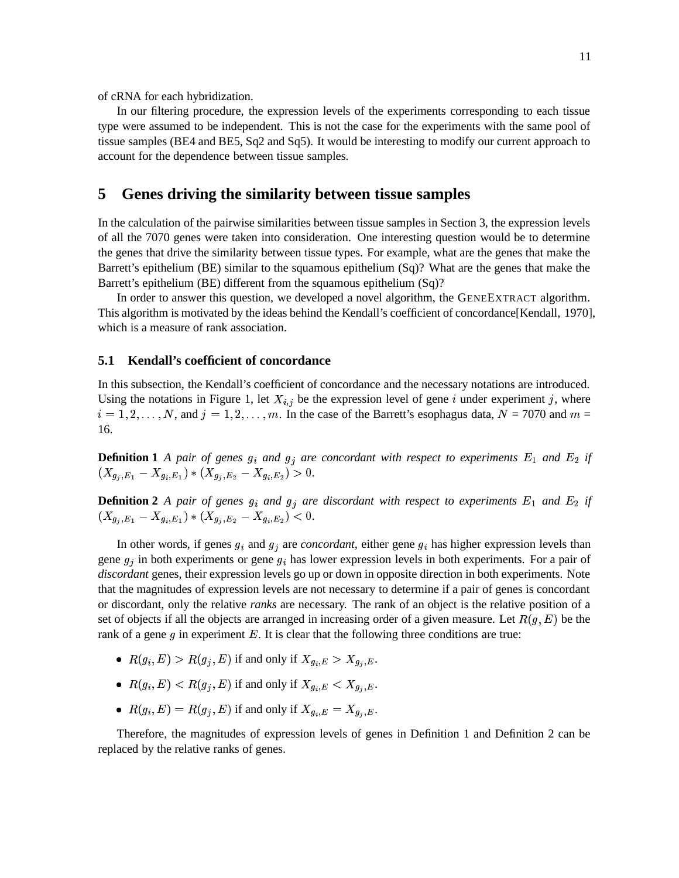of cRNA for each hybridization.

In our filtering procedure, the expression levels of the experiments corresponding to each tissue type were assumed to be independent. This is not the case for the experiments with the same pool of tissue samples (BE4 and BE5, Sq2 and Sq5). It would be interesting to modify our current approach to account for the dependence between tissue samples.

# **5 Genes driving the similarity between tissue samples**

In the calculation of the pairwise similarities between tissue samples in Section 3, the expression levels of all the 7070 genes were taken into consideration. One interesting question would be to determine the genes that drive the similarity between tissue types. For example, what are the genes that make the Barrett's epithelium (BE) similar to the squamous epithelium (Sq)? What are the genes that make the Barrett's epithelium (BE) different from the squamous epithelium (Sq)?

In order to answer this question, we developed a novel algorithm, the GENEEXTRACT algorithm. This algorithm is motivated by the ideas behind the Kendall's coefficient of concordance[Kendall, 1970], which is a measure of rank association.

### **5.1 Kendall's coefficient of concordance**

In this subsection, the Kendall's coefficient of concordance and the necessary notations are introduced. Using the notations in Figure 1, let  $X_{i,j}$  be the expression level of gene i under experiment j, where  $i = 1, 2, \ldots, N$ , and  $j = 1, 2, \ldots, m$ . In the case of the Barrett's esophagus data,  $N = 7070$  and  $m =$ 16.

**Definition 1** A pair of genes  $g_i$  and  $g_j$  are concordant with respect to experiments  $E_1$  and  $E_2$  if  $(X_{q_i,E_1}-X_{q_i,E_1})\ast (X_{q_i,E_2}-X_{q_i,E_2})>0.$ 

**Definition 2** A pair of genes  $g_i$  and  $g_j$  are discordant with respect to experiments  $E_1$  and  $E_2$  if  $(X_{g_i,E_1}-X_{g_i,E_1})\ast (X_{g_i,E_2}-X_{g_i,E_2})<0.$ 

In other words, if genes  $g_i$  and  $g_j$  are *concordant*, either gene  $g_i$  has higher expression levels than gene  $g_i$  in both experiments or gene  $g_i$  has lower expression levels in both experiments. For a pair of *discordant* genes, their expression levels go up or down in opposite direction in both experiments. Note that the magnitudes of expression levels are not necessary to determine if a pair of genes is concordant or discordant, only the relative *ranks* are necessary. The rank of an object is the relative position of a set of objects if all the objects are arranged in increasing order of a given measure. Let  $R(g, E)$  be the rank of a gene  $g$  in experiment  $E$ . It is clear that the following three conditions are true:

- $R(g_i, E) > R(g_j, E)$  if and only if  $X_{g_i, E} > X_{g_i, E}$ .
- $R(g_i, E) < R(g_j, E)$  if and only if  $X_{g_i, E} < X_{g_i, E}$ .
- $R(g_i, E) = R(g_j, E)$  if and only if  $X_{g_i, E} = X_{g_i, E}$ .

Therefore, the magnitudes of expression levels of genes in Definition 1 and Definition 2 can be replaced by the relative ranks of genes.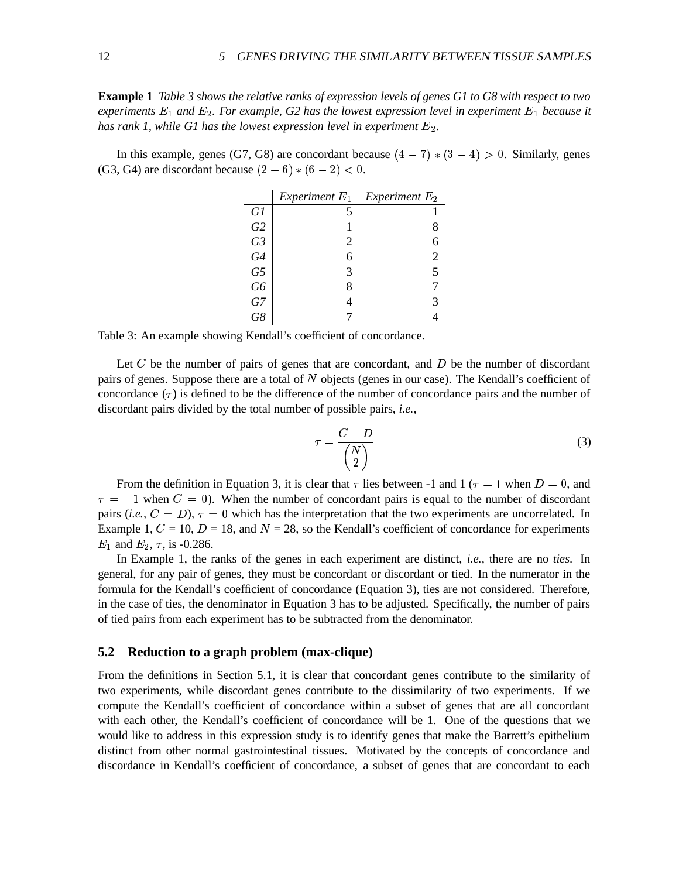**Example 1** Table 3 shows the relative ranks of expression levels of genes G1 to G8 with respect to two  $e$ xperiments  $E_1$  and  $E_2$ . For example, G2 has the lowest expression level in experiment  $E_1$  because it *has rank 1, while G1 has the lowest expression level in experiment*  $E_2$ .

In this example, genes (G7, G8) are concordant because  $(4-7)*(3-4) > 0$ . Similarly, genes  $(G3, G4)$  are discordant because  $(2 - 6) * (6 - 2) < 0$ .

|                | Experiment $E_1$ Experiment $E_2$ |   |
|----------------|-----------------------------------|---|
| G1             |                                   |   |
| G2             |                                   | 8 |
| G <sub>3</sub> | $\mathcal{D}_{\cdot}$             | 6 |
| G4             |                                   | 2 |
| G5             | 3                                 | 5 |
| G <sub>6</sub> |                                   |   |
| G7             |                                   | Κ |
|                |                                   |   |

Table 3: An example showing Kendall's coefficient of concordance.

Let  $C$  be the number of pairs of genes that are concordant, and  $D$  be the number of discordant pairs of genes. Suppose there are a total of N objects (genes in our case). The Kendall's coefficient of concordance  $(\tau)$  is defined to be the difference of the number of concordance pairs and the number of discordant pairs divided by the total number of possible pairs, *i.e.,*

$$
\tau = \frac{C - D}{\begin{pmatrix} N \\ 2 \end{pmatrix}} \tag{3}
$$

From the definition in Equation 3, it is clear that  $\tau$  lies between -1 and 1 ( $\tau = 1$  when  $D = 0$ , and  $\tau = -1$  when  $C = 0$ ). When the number of concordant pairs is equal to the number of discordant pairs (*i.e.*,  $C = D$ ),  $\tau = 0$  which has the interpretation that the two experiments are uncorrelated. In Example 1,  $C = 10$ ,  $D = 18$ , and  $N = 28$ , so the Kendall's coefficient of concordance for experiments  $E_1$  and  $E_2$ ,  $\tau$ , is -0.286.

In Example 1, the ranks of the genes in each experiment are distinct, *i.e.,* there are no *ties*. In general, for any pair of genes, they must be concordant or discordant or tied. In the numerator in the formula for the Kendall's coefficient of concordance (Equation 3), ties are not considered. Therefore, in the case of ties, the denominator in Equation 3 has to be adjusted. Specifically, the number of pairs of tied pairs from each experiment has to be subtracted from the denominator.

### **5.2 Reduction to a graph problem (max-clique)**

From the definitions in Section 5.1, it is clear that concordant genes contribute to the similarity of two experiments, while discordant genes contribute to the dissimilarity of two experiments. If we compute the Kendall's coefficient of concordance within a subset of genes that are all concordant with each other, the Kendall's coefficient of concordance will be 1. One of the questions that we would like to address in this expression study is to identify genes that make the Barrett's epithelium distinct from other normal gastrointestinal tissues. Motivated by the concepts of concordance and discordance in Kendall's coefficient of concordance, a subset of genes that are concordant to each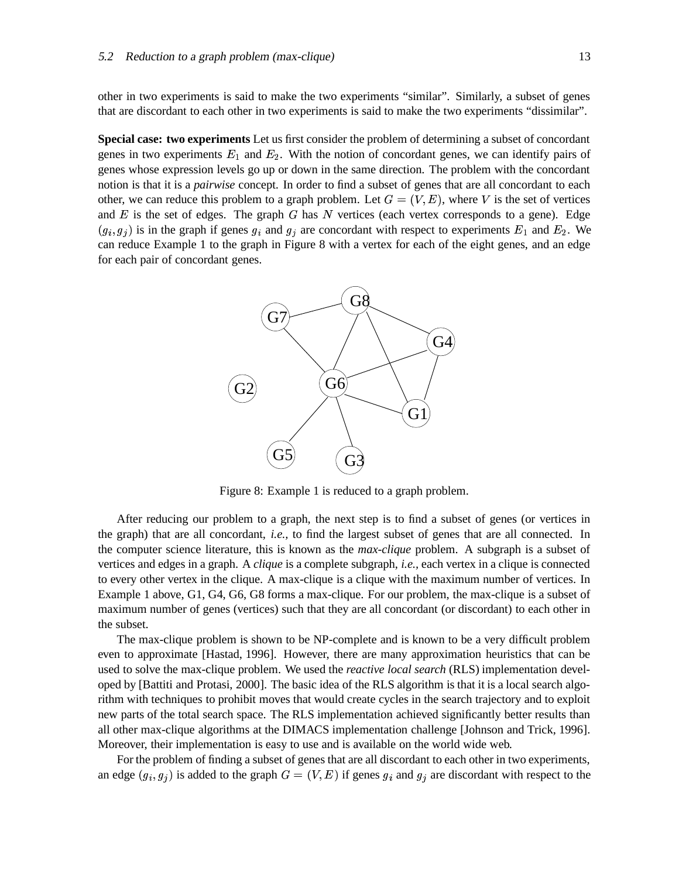other in two experiments is said to make the two experiments "similar". Similarly, a subset of genes that are discordant to each other in two experiments is said to make the two experiments "dissimilar".

**Special case: two experiments** Let us first consider the problem of determining a subset of concordant genes in two experiments  $E_1$  and  $E_2$ . With the notion of concordant genes, we can identify pairs of genes whose expression levels go up or down in the same direction. The problem with the concordant notion is that it is a *pairwise* concept. In order to find a subset of genes that are all concordant to each other, we can reduce this problem to a graph problem. Let  $G = (V, E)$ , where V is the set of vertices and  $E$  is the set of edges. The graph  $G$  has  $N$  vertices (each vertex corresponds to a gene). Edge  $(g_i, g_j)$  is in the graph if genes  $g_i$  and  $g_j$  are concordant with respect to experiments  $E_1$  and  $E_2$ . We can reduce Example 1 to the graph in Figure 8 with a vertex for each of the eight genes, and an edge for each pair of concordant genes.



Figure 8: Example 1 is reduced to a graph problem.

After reducing our problem to a graph, the next step is to find a subset of genes (or vertices in the graph) that are all concordant, *i.e.,* to find the largest subset of genes that are all connected. In the computer science literature, this is known as the *max-clique* problem. A subgraph is a subset of vertices and edges in a graph. A *clique* is a complete subgraph, *i.e.,* each vertex in a clique is connected to every other vertex in the clique. A max-clique is a clique with the maximum number of vertices. In Example 1 above, G1, G4, G6, G8 forms a max-clique. For our problem, the max-clique is a subset of maximum number of genes (vertices) such that they are all concordant (or discordant) to each other in the subset.

The max-clique problem is shown to be NP-complete and is known to be a very difficult problem even to approximate [Hastad, 1996]. However, there are many approximation heuristics that can be used to solve the max-clique problem. We used the *reactive local search* (RLS) implementation developed by [Battiti and Protasi, 2000]. The basic idea of the RLS algorithm is that it is a local search algorithm with techniques to prohibit moves that would create cycles in the search trajectory and to exploit new parts of the total search space. The RLS implementation achieved significantly better results than all other max-clique algorithms at the DIMACS implementation challenge [Johnson and Trick, 1996]. Moreover, their implementation is easy to use and is available on the world wide web.

For the problem of finding a subset of genes that are all discordant to each other in two experiments, an edge  $(g_i, g_j)$  is added to the graph  $G = (V, E)$  if genes  $g_i$  and  $g_j$  are discordant with respect to the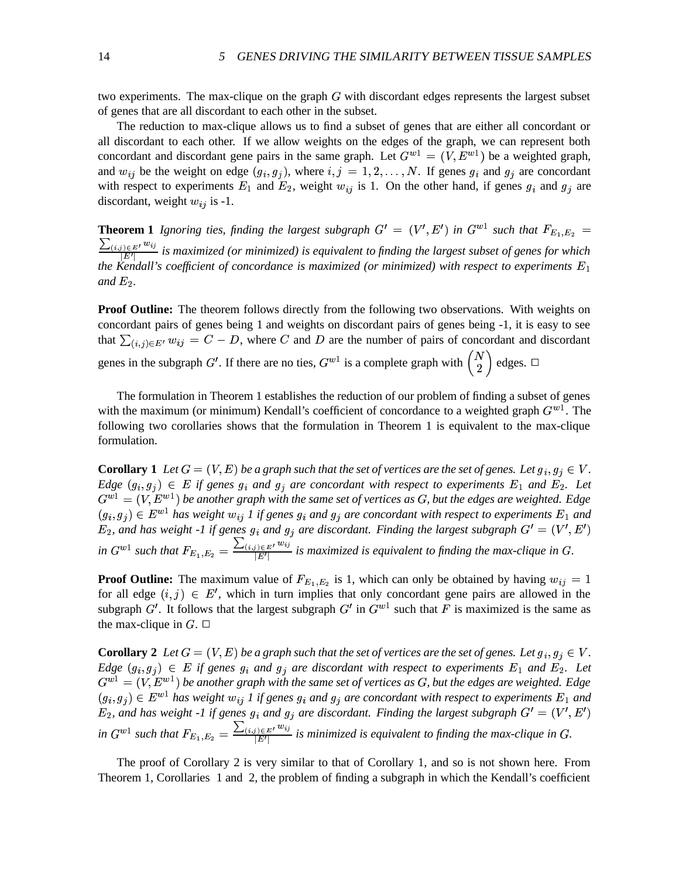two experiments. The max-clique on the graph  $G$  with discordant edges represents the largest subset of genes that are all discordant to each other in the subset.

The reduction to max-clique allows us to find a subset of genes that are either all concordant or all discordant to each other. If we allow weights on the edges of the graph, we can represent both concordant and discordant gene pairs in the same graph. Let  $G^{w1} = (V, E^{w1})$  be a weighted graph, and  $w_{ij}$  be the weight on edge  $(g_i, g_j)$ , where  $i, j = 1, 2, ..., N$ . If genes  $g_i$  and  $g_j$  are concordant with respect to experiments  $E_1$  and  $E_2$ , weight  $w_{ij}$  is 1. On the other hand, if genes  $g_i$  and  $g_j$  are discordant, weight  $w_{ij}$  is -1.

**Theorem 1** Ignoring ties, finding the largest subgraph  $G' = (V', E')$  in  $G^{w_1}$  su  $\prime$ , E') in  $G^{w1}$  such t  $$ *in*  $G^{w_1}$  such that  $F_{E_1,E_2} =$  $\frac{\sum_{(i,j) \in E'} w_{ij}}{|E'|}$  is maximized (or minimized) is equivalent to finding the largest subset of genes for which *the Kendall's coefficient of concordance is maximized (or minimized) with respect to experiments*  $E_1$ and  $E_2$ .

**Proof Outline:** The theorem follows directly from the following two observations. With weights on concordant pairs of genes being 1 and weights on discordant pairs of genes being -1, it is easy to see that  $\sum_{(i,j)\in E^t} w_{ij} = C - D$ , where C and D are the number of pairs of concordant and discordant genes in the subgraph G'. If there are no ties,  $G^{w1}$  is a complete graph with  $\begin{pmatrix} N \\ 2 \end{pmatrix}$  edges.  $\Box$ 

The formulation in Theorem 1 establishes the reduction of our problem of finding a subset of genes with the maximum (or minimum) Kendall's coefficient of concordance to a weighted graph  $G^{w1}$ . The following two corollaries shows that the formulation in Theorem 1 is equivalent to the max-clique formulation.

**Corollary 1** Let  $G = (V, E)$  be a graph such that the set of vertices are the set of genes. Let  $g_i, g_j \in V$ . *Edge*  $(g_i, g_j) \in E$  *if genes*  $g_i$  *and*  $g_j$  *are concordant with respect to experiments*  $E_1$  *and*  $E_2$ . Let  $\mathbf{g}^{\mathrm{ul}} = (V, E^{\mathrm{w1}})$  be another graph with the same set of vertices as  $G$ , but the edges are weighted. Edge  $(g_i, g_j) \in E^{w_1}$  has weight  $w_{ij}$  1 if genes  $g_i$  and  $g_j$  are concordant with respect to experiments  $E_1$  and  $E_2$ , and has weight -1 if genes  $g_i$  and  $g_j$  are discordant. Finding the largest subgraph  $G' = (V', E')$  $^{\prime}$  ,  $E^{\prime}$ in  $G^{w1}$  such that  $F_{E_1,E_2} = \frac{\sum_{(i,j) \in E^+} w_{ij}}{|E^+|}$  is maximized is equivalent to finding the max-clique in G.

**Proof Outline:** The maximum value of  $F_{E_1,E_2}$  is 1, which can only be obtained by having  $w_{ij} = 1$ for all edge  $(i, j) \in E'$ , which in turn - , which in turn implies that only concordant gene pairs are allowed in the subgraph G'. It follows that the largest subgraph  $G'$  in  $G^{w_1}$  such that F is maximized is the same as the max-clique in  $G$ .  $\Box$ 

**Corollary 2** Let  $G = (V, E)$  be a graph such that the set of vertices are the set of genes. Let  $g_i, g_j \in V$ . *Edge*  $(g_i, g_j) \in E$  *if* genes  $g_i$  and  $g_j$  are discordant with respect to experiments  $E_1$  and  $E_2$ . Let  $\mathbf{g}^{\mathrm{ul}} = (V, E^{\mathrm{w1}})$  be another graph with the same set of vertices as G, but the edges are weighted. Edge  $(g_i, g_j) \in E^{w_1}$  has weight  $w_{ij}$  1 if genes  $g_i$  and  $g_j$  are concordant with respect to experiments  $E_1$  and  $E_2$ , and has weight -1 if genes  $g_i$  and  $g_j$  are discordant. Finding the largest subgraph  $G' = (V', E')$  $^\prime$  .  $E^\prime$ in  $G^{w1}$  such that  $F_{E_1,E_2} = \frac{\sum_{(i,j) \in E^t} w_{ij}}{|E^t|}$  is minimized is equivalent to finding the max-clique in G.

The proof of Corollary 2 is very similar to that of Corollary 1, and so is not shown here. From Theorem 1, Corollaries 1 and 2, the problem of finding a subgraph in which the Kendall's coefficient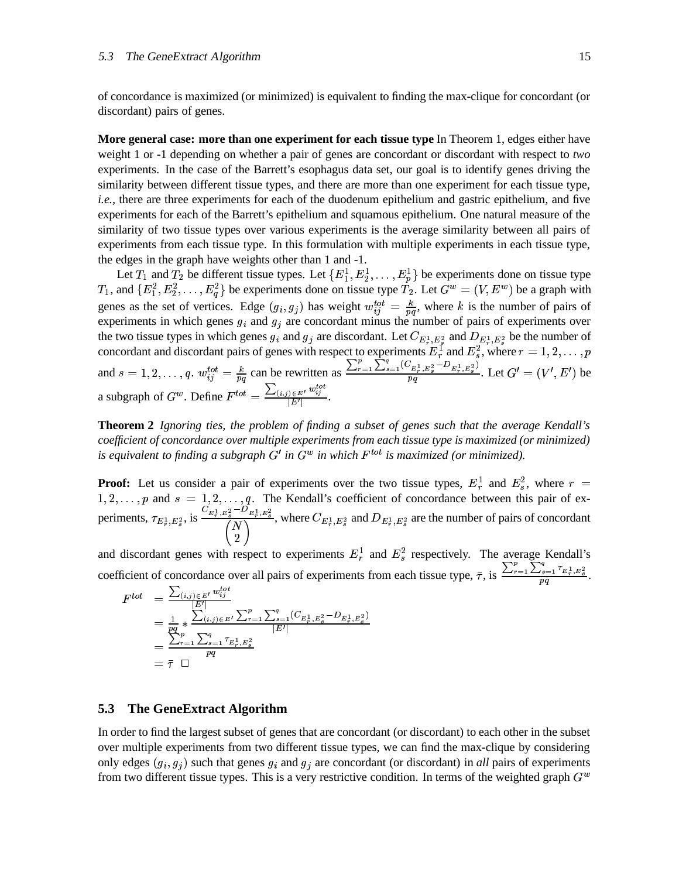of concordance is maximized (or minimized) is equivalent to finding the max-clique for concordant (or discordant) pairs of genes.

**More general case: more than one experiment for each tissue type** In Theorem 1, edges either have weight 1 or -1 depending on whether a pair of genes are concordant or discordant with respect to *two* experiments. In the case of the Barrett's esophagus data set, our goal is to identify genes driving the similarity between different tissue types, and there are more than one experiment for each tissue type, *i.e.*, there are three experiments for each of the duodenum epithelium and gastric epithelium, and five experiments for each of the Barrett's epithelium and squamous epithelium. One natural measure of the similarity of two tissue types over various experiments is the average similarity between all pairs of experiments from each tissue type. In this formulation with multiple experiments in each tissue type, the edges in the graph have weights other than 1 and -1.

Let  $T_1$  and  $T_2$  be different tissue types. Let  $\{E_1^1, E_2^1, \ldots, E_n^1\}$  $,E_2^1,\ldots,I$  $\{ \ldots, E_n^1 \}$  be experiments done on tissue type  $T_1$ , and  $\{E_1^2, E_2^2, \ldots\}$  $, E_2^2, \ldots, I$  $, \ldots, E_a^2$  be experiments done on tissue type  $T_2$ . Let  $G^w = (V, E^w)$  be a graph with genes as the set of vertices. Edge  $(g_i, g_j)$  has weight  $w_{ij}^{tot} = \frac{k}{n}$ , where k is the number of pairs of experiments in which genes  $g_i$  and  $g_j$  are concordant minus the number of pairs of experiments over the two tissue types in which genes  $g_i$  and  $g_i$  are discordant. Let  $C_{E^1_*,E^2_*}$  and  $D_{E^1_*,E^2_*}$  be the number of concordant and discordant pairs of genes with respect to experiments  $E_r^1$  and  $E_s^2$ , where  $r = 1, 2, \ldots, p$ and  $s = 1, 2, ..., q$ .  $w_{ii}^{tot} = \frac{k}{r}$  can be rewritten as  $\frac{\sum_{r=1}^{p} \sum_{s=1}^{q} (C_{E_r^1, E_s^2} - D_{E_r^1, E_s^2})}{n}$ . Let  $G' = (V', E')$  be  $^{\prime}$  ,  $E^{\prime}$  $-$ ) be a subgraph of  $G^w$ . Define  $F^{tot} = \frac{\sum_{(i,j) \in E^l} w_{ij}^{tot}}{|F'|}$ .

**Theorem 2** *Ignoring ties, the problem of finding a subset of genes such that the average Kendall's coefficient of concordance over multiple experiments from each tissue type is maximized (or minimized)* is equivalent to finding a subgraph  $G'$  in  $G^w$  in which  $F^{tot}$  is maximized (or minimized).

**Proof:** Let us consider a pair of experiments over the two tissue types,  $E_r^1$  and  $E_s^2$ , where  $r =$  $1, 2, \ldots, p$  and  $s = 1, 2, \ldots, q$ . The Kendall's coefficient of concordance between this pair of experiments,  $\tau_{E_x^1,E_y^2}$ , is  $-$ . . . .  $\frac{E_{r}^{1}, E_{s}^{2}-D_{E_{r}^{1}, E_{s}^{2}}}{Z_{r}^{2}+N_{s}^{2}}$ , where  $C_{F_{s}^{1}}$  $\sim$  +  $\sim$  +  $\sim$  +  $\sim$  +  $\sim$  +  $\sim$  +  $\sim$  +  $\sim$  +  $\sim$  +  $\sim$  +  $\sim$  +  $\sim$  +  $\sim$  +  $\sim$  +  $\sim$  +  $\sim$  +  $\sim$  +  $\sim$  +  $\sim$  +  $\sim$  +  $\sim$  +  $\sim$  +  $\sim$  +  $\sim$  +  $\sim$  +  $\sim$  +  $\sim$  +  $\sim$  +  $\sim$  +  $\sim$  +  $\sim$  +  $\sim$ , where  $C_{E_1^1, E_2^2}$  and  $D_{E_2^1, E_2^2}$  are the number of pairs of concordant

and discordant genes with respect to experiments  $E_r^1$  and  $E_s^2$  respectively. The average Kendall's coefficient of concordance over all pairs of experiments from each tissue type,  $\bar{\tau}$ , is  $\frac{\sum_{r=1}^{p} \sum_{s=1}^{q} \tau_{E_r^1,E_s^2}}{n\sigma}$ .

$$
F^{tot} = \frac{\sum_{(i,j) \in E'} w_{ij}^{tot}}{\frac{|E'|}{E' |}} \\
= \frac{1}{pq} * \frac{\sum_{(i,j) \in E'} w_{i,j}}{\sum_{r=1}^{p} \sum_{s=1}^{q} (C_{E_r^1, E_s^2} - D_{E_r^1, E_s^2})} \\
= \frac{\sum_{r=1}^{p} \sum_{s=1}^{q} \tau_{E_r^1, E_s^2}}{pq} \\
= \bar{\tau} \quad \Box
$$

## **5.3 The GeneExtract Algorithm**

In order to find the largest subset of genes that are concordant (or discordant) to each other in the subset over multiple experiments from two different tissue types, we can find the max-clique by considering only edges  $(g_i, g_j)$  such that genes  $g_i$  and  $g_j$  are concordant (or discordant) in *all* pairs of experiments from two different tissue types. This is a very restrictive condition. In terms of the weighted graph  $G^w$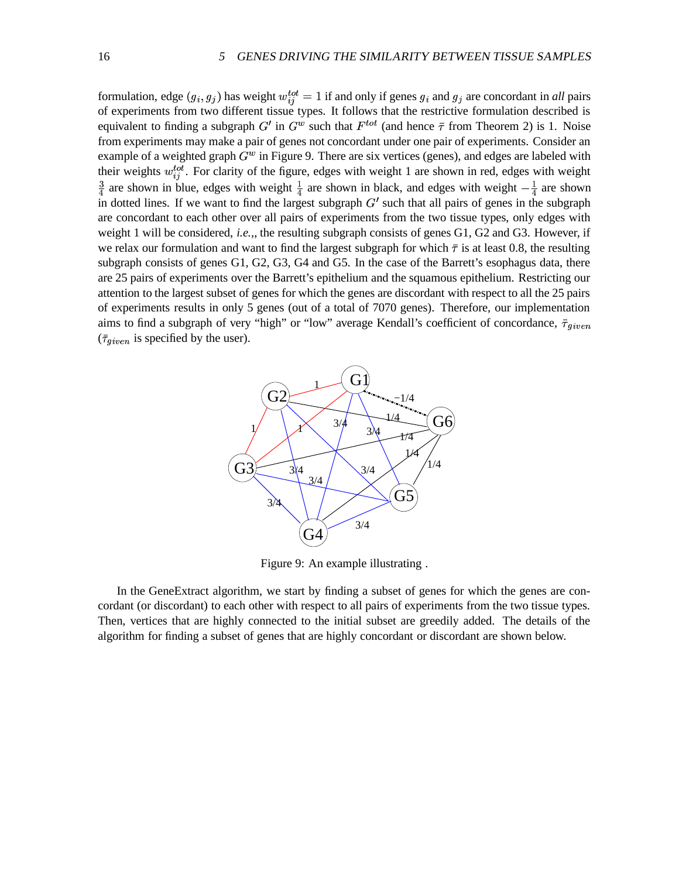formulation, edge  $(g_i, g_j)$  has weight  $w_{ij}^{tot} = 1$  if and only if genes  $g_i$  and  $g_j$  are concordant in *all* pairs of experiments from two different tissue types. It follows that the restrictive formulation described is equivalent to finding a subgraph G' in  $G^w$  such that  $F^{tot}$  (and hence  $\bar{\tau}$  from Theorem 2) is 1. Noise from experiments may make a pair of genes not concordant under one pair of experiments. Consider an example of a weighted graph  $G^w$  in Figure 9. There are six vertices (genes), and edges are labeled with their weights  $w_{ij}^{tot}$ . For clarity of the figure, edges with weight 1 are shown in red, edges with weight  $\frac{3}{4}$  are shown in blue, edges with weight  $\frac{1}{4}$  are shown in black, and edges with weight  $-\frac{1}{4}$  are shown in dotted lines. If we want to find the largest subgraph  $G'$  such that all pairs of genes in the subgraph are concordant to each other over all pairs of experiments from the two tissue types, only edges with weight 1 will be considered, *i.e.,*, the resulting subgraph consists of genes G1, G2 and G3. However, if we relax our formulation and want to find the largest subgraph for which  $\bar{\tau}$  is at least 0.8, the resulting subgraph consists of genes G1, G2, G3, G4 and G5. In the case of the Barrett's esophagus data, there are 25 pairs of experiments over the Barrett's epithelium and the squamous epithelium. Restricting our attention to the largest subset of genes for which the genes are discordant with respect to all the 25 pairs of experiments results in only 5 genes (out of a total of 7070 genes). Therefore, our implementation aims to find a subgraph of very "high" or "low" average Kendall's coefficient of concordance,  $\bar{\tau}_{given}$  $(\bar{\tau}_{given}$  is specified by the user).



Figure 9: An example illustrating .

In the GeneExtract algorithm, we start by finding a subset of genes for which the genes are concordant (or discordant) to each other with respect to all pairs of experiments from the two tissue types. Then, vertices that are highly connected to the initial subset are greedily added. The details of the algorithm for finding a subset of genes that are highly concordant or discordant are shown below.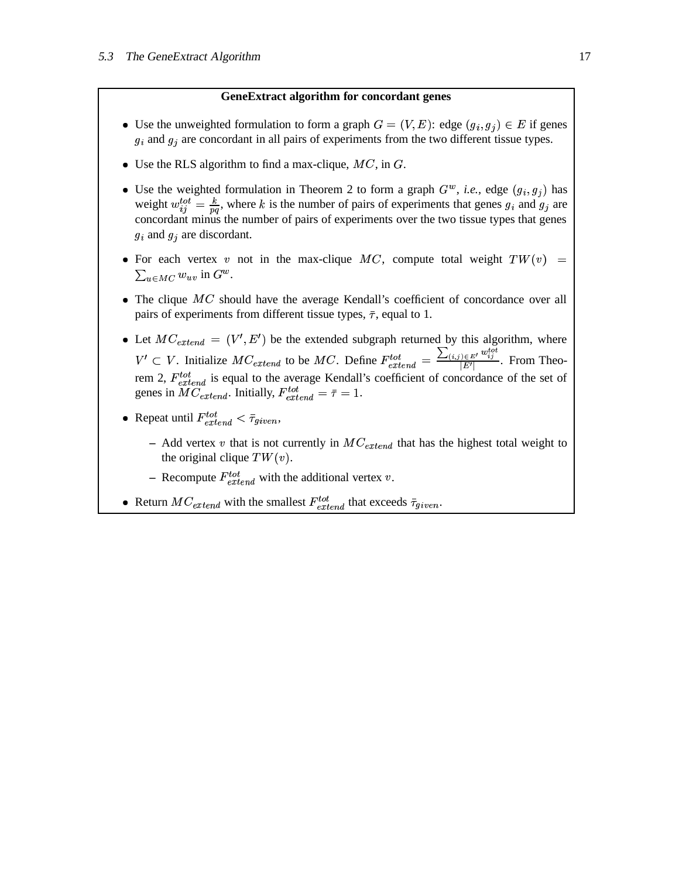#### **GeneExtract algorithm for concordant genes**

- Use the unweighted formulation to form a graph  $G = (V, E)$ : edge  $(g_i, g_j) \in E$  if genes  $g_i$  and  $g_j$  are concordant in all pairs of experiments from the two different tissue types.
- Use the RLS algorithm to find a max-clique,  $MC$ , in  $G$ .
- Use the weighted formulation in Theorem 2 to form a graph  $G^w$ , *i.e.*, edge  $(g_i, g_j)$  has weight  $w_{ij}^{tot} = \frac{k}{nq}$ , where k is the number of pairs of experiments that genes  $g_i$  and  $g_j$  are concordant minus the number of pairs of experiments over the two tissue types that genes  $g_i$  and  $g_j$  are discordant.
- For each vertex v not in the max-clique MC, compute total weight  $TW(v) =$  )  $\sum_{u \in MC} w_{uv}$  in  $G^w$ .
- $\bullet$  The clique  $MC$  should have the average Kendall's coefficient of concordance over all pairs of experiments from different tissue types,  $\bar{\tau}$ , equal to 1.
- Let  $MC_{extend} = (V', E')$  be the ext  $\prime$ ,  $E'$ ) be the extend  $-$  be the extended subgraph returned by this algorithm, where  $U \subset V$ . Initialize  $MC_{extend}$  to be  $MC$ . Define  $F_{extend}^{tot} = \frac{\sum_{(i,j) \in E'} w_{ij}^{tot}}{|E'|}$ . From Theorem 2,  $F_{e$ <sub>r</sub>tend</sub> is equal to the average Kendall's coefficient of concordance of the set of genes in  $MC_{extend}$ . Initially,  $F_{extend}^{tot} = \overline{\tau} = 1$ .
- Repeat until  $F_{extend}^{tot} < \bar{\tau}_{given}$ ,
	- $-$  Add vertex v that is not currently in  $MC_{extend}$  that has the highest total weight to the original clique  $TW(v)$ .
	- Recompute  $F_{e, trend}^{tot}$  with the additional vertex v.
- Return  $MC_{extend}$  with the smallest  $F_{extend}^{tot}$  that exceeds  $\bar{\tau}_{given}$ .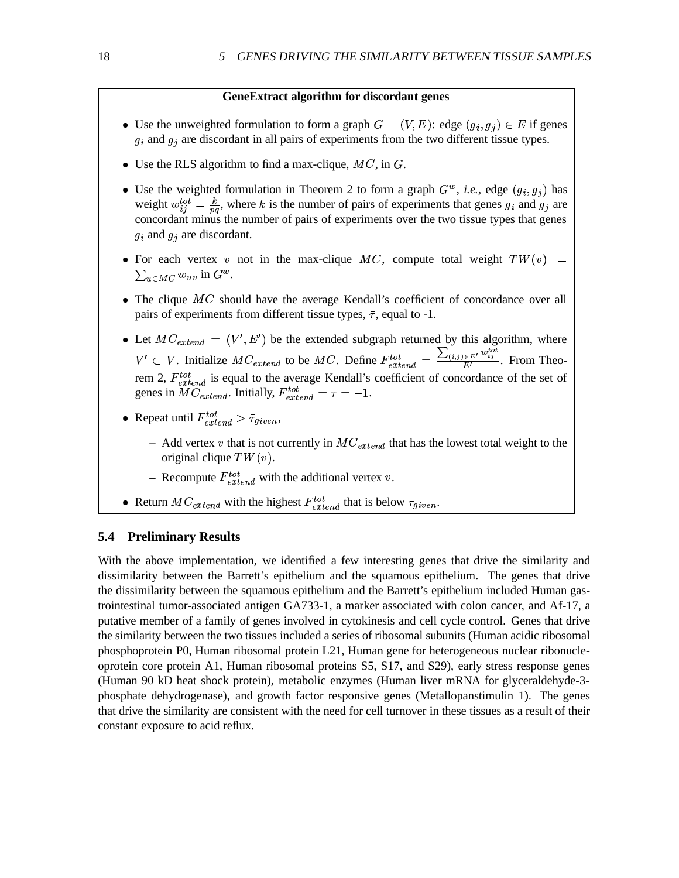#### **GeneExtract algorithm for discordant genes**

- Use the unweighted formulation to form a graph  $G = (V, E)$ : edge  $(g_i, g_j) \in E$  if genes  $g_i$  and  $g_j$  are discordant in all pairs of experiments from the two different tissue types.
- Use the RLS algorithm to find a max-clique,  $MC$ , in  $G$ .
- Use the weighted formulation in Theorem 2 to form a graph  $G^w$ , *i.e.*, edge  $(g_i, g_j)$  has weight  $w_{ij}^{tot} = \frac{k}{nq}$ , where k is the number of pairs of experiments that genes  $g_i$  and  $g_j$  are concordant minus the number of pairs of experiments over the two tissue types that genes  $g_i$  and  $g_j$  are discordant.
- For each vertex v not in the max-clique MC, compute total weight  $TW(v) =$  $\sum_{u \in MC} w_{uv}$  in  $G^w$ .
- $\bullet$  The clique  $MC$  should have the average Kendall's coefficient of concordance over all pairs of experiments from different tissue types,  $\bar{\tau}$ , equal to -1.
- Let  $MC_{extend} = (V', E')$  be the ext  $\prime$ ,  $E'$ ) be the extend  $-$  be the extended subgraph returned by this algorithm, where  $U \subset V$ . Initialize  $MC_{extend}$  to be  $MC$ . Define  $F_{extend}^{tot} = \frac{\sum_{(i,j) \in E'} w_{ij}^{tot}}{|E'|}$ . From Theorem 2,  $F_{e$ <sub>r</sub>tend</sub> is equal to the average Kendall's coefficient of concordance of the set of genes in  $MC_{extend}$ . Initially,  $F_{extend}^{tot} = \bar{\tau} = -1$ .
- Repeat until  $F_{extend}^{tot} > \bar{\tau}_{given}$ ,
	- $-$  Add vertex v that is not currently in  $MC_{extend}$  that has the lowest total weight to the original clique  $TW(v)$ .
	- Recompute  $F_{e, trend}^{tot}$  with the additional vertex v.
- Return  $MC_{extend}$  with the highest  $F_{extend}^{tot}$  that is below  $\bar{\tau}_{given}$ .

### **5.4 Preliminary Results**

With the above implementation, we identified a few interesting genes that drive the similarity and dissimilarity between the Barrett's epithelium and the squamous epithelium. The genes that drive the dissimilarity between the squamous epithelium and the Barrett's epithelium included Human gastrointestinal tumor-associated antigen GA733-1, a marker associated with colon cancer, and Af-17, a putative member of a family of genes involved in cytokinesis and cell cycle control. Genes that drive the similarity between the two tissues included a series of ribosomal subunits (Human acidic ribosomal phosphoprotein P0, Human ribosomal protein L21, Human gene for heterogeneous nuclear ribonucleoprotein core protein A1, Human ribosomal proteins S5, S17, and S29), early stress response genes (Human 90 kD heat shock protein), metabolic enzymes (Human liver mRNA for glyceraldehyde-3 phosphate dehydrogenase), and growth factor responsive genes (Metallopanstimulin 1). The genes that drive the similarity are consistent with the need for cell turnover in these tissues as a result of their constant exposure to acid reflux.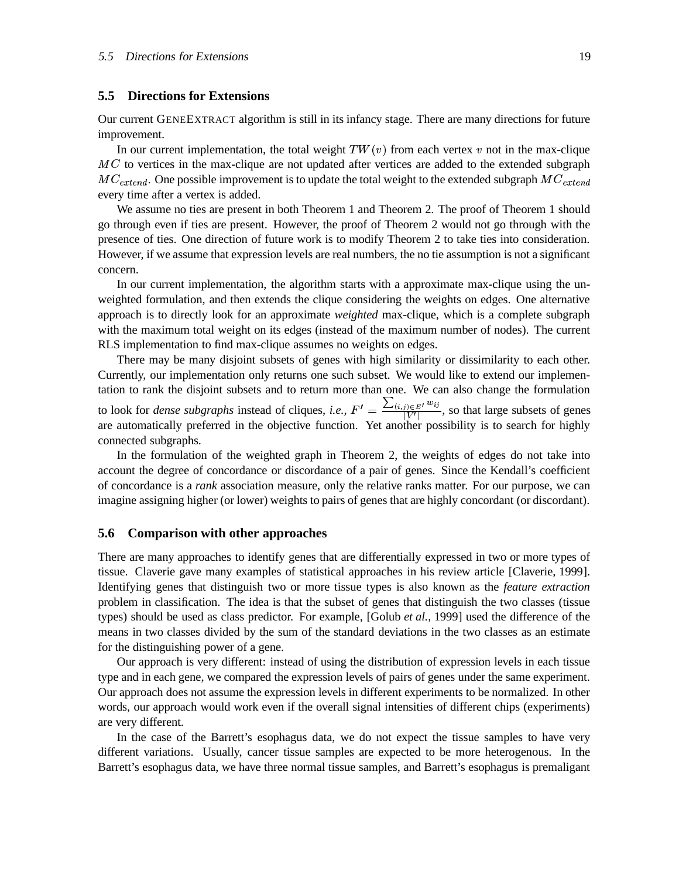#### **5.5 Directions for Extensions**

Our current GENEEXTRACT algorithm is still in its infancy stage. There are many directions for future improvement.

In our current implementation, the total weight  $TW(v)$  from each vertex v not in the max-clique  $MC$  to vertices in the max-clique are not updated after vertices are added to the extended subgraph  $MC_{extend}$ . One possible improvement is to update the total weight to the extended subgraph  $MC_{extend}$ every time after a vertex is added.

We assume no ties are present in both Theorem 1 and Theorem 2. The proof of Theorem 1 should go through even if ties are present. However, the proof of Theorem 2 would not go through with the presence of ties. One direction of future work is to modify Theorem 2 to take ties into consideration. However, if we assume that expression levels are real numbers, the no tie assumption is not a significant concern.

In our current implementation, the algorithm starts with a approximate max-clique using the unweighted formulation, and then extends the clique considering the weights on edges. One alternative approach is to directly look for an approximate *weighted* max-clique, which is a complete subgraph with the maximum total weight on its edges (instead of the maximum number of nodes). The current RLS implementation to find max-clique assumes no weights on edges.

There may be many disjoint subsets of genes with high similarity or dissimilarity to each other. Currently, our implementation only returns one such subset. We would like to extend our implementation to rank the disjoint subsets and to return more than one. We can also change the formulation to look for *dense* subgraphs instead of cliques, *i.e.*,  $F' = \frac{\sum_{(i,j) \in E'} w_{ij}}{|V'|}$ , so that large subsets of genes are automatically preferred in the objective function. Yet another possibility is to search for highly connected subgraphs.

In the formulation of the weighted graph in Theorem 2, the weights of edges do not take into account the degree of concordance or discordance of a pair of genes. Since the Kendall's coefficient of concordance is a *rank* association measure, only the relative ranks matter. For our purpose, we can imagine assigning higher (or lower) weights to pairs of genes that are highly concordant (or discordant).

#### **5.6 Comparison with other approaches**

There are many approaches to identify genes that are differentially expressed in two or more types of tissue. Claverie gave many examples of statistical approaches in his review article [Claverie, 1999]. Identifying genes that distinguish two or more tissue types is also known as the *feature extraction* problem in classification. The idea is that the subset of genes that distinguish the two classes (tissue types) should be used as class predictor. For example, [Golub *et al.*, 1999] used the difference of the means in two classes divided by the sum of the standard deviations in the two classes as an estimate for the distinguishing power of a gene.

Our approach is very different: instead of using the distribution of expression levels in each tissue type and in each gene, we compared the expression levels of pairs of genes under the same experiment. Our approach does not assume the expression levels in different experiments to be normalized. In other words, our approach would work even if the overall signal intensities of different chips (experiments) are very different.

In the case of the Barrett's esophagus data, we do not expect the tissue samples to have very different variations. Usually, cancer tissue samples are expected to be more heterogenous. In the Barrett's esophagus data, we have three normal tissue samples, and Barrett's esophagus is premaligant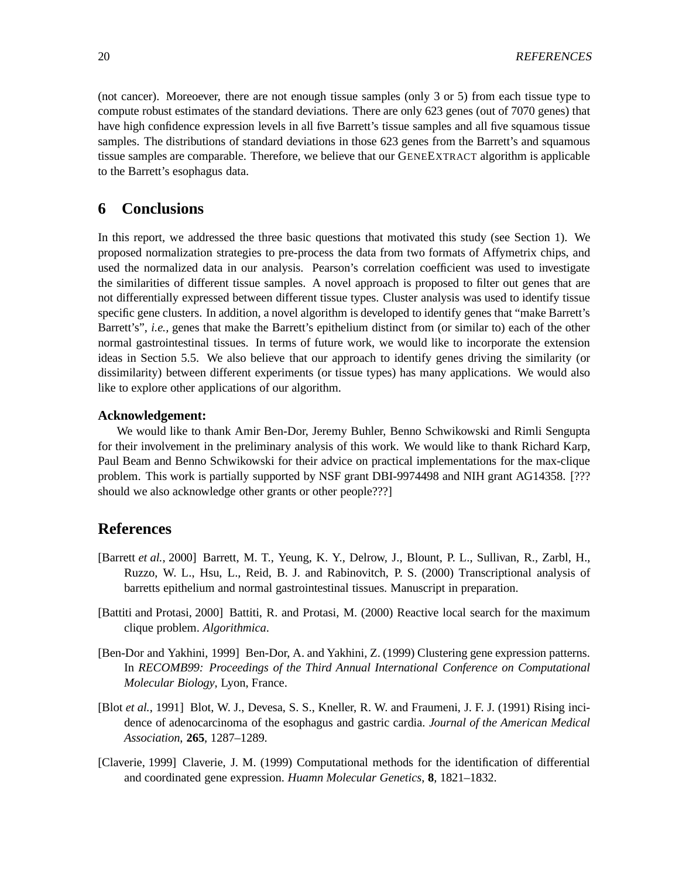(not cancer). Moreoever, there are not enough tissue samples (only 3 or 5) from each tissue type to compute robust estimates of the standard deviations. There are only 623 genes (out of 7070 genes) that have high confidence expression levels in all five Barrett's tissue samples and all five squamous tissue samples. The distributions of standard deviations in those 623 genes from the Barrett's and squamous tissue samples are comparable. Therefore, we believe that our GENEEXTRACT algorithm is applicable to the Barrett's esophagus data.

# **6 Conclusions**

In this report, we addressed the three basic questions that motivated this study (see Section 1). We proposed normalization strategies to pre-process the data from two formats of Affymetrix chips, and used the normalized data in our analysis. Pearson's correlation coefficient was used to investigate the similarities of different tissue samples. A novel approach is proposed to filter out genes that are not differentially expressed between different tissue types. Cluster analysis was used to identify tissue specific gene clusters. In addition, a novel algorithm is developed to identify genes that "make Barrett's Barrett's", *i.e.,* genes that make the Barrett's epithelium distinct from (or similar to) each of the other normal gastrointestinal tissues. In terms of future work, we would like to incorporate the extension ideas in Section 5.5. We also believe that our approach to identify genes driving the similarity (or dissimilarity) between different experiments (or tissue types) has many applications. We would also like to explore other applications of our algorithm.

### **Acknowledgement:**

We would like to thank Amir Ben-Dor, Jeremy Buhler, Benno Schwikowski and Rimli Sengupta for their involvement in the preliminary analysis of this work. We would like to thank Richard Karp, Paul Beam and Benno Schwikowski for their advice on practical implementations for the max-clique problem. This work is partially supported by NSF grant DBI-9974498 and NIH grant AG14358. [??? should we also acknowledge other grants or other people???]

# **References**

- [Barrett *et al.*, 2000] Barrett, M. T., Yeung, K. Y., Delrow, J., Blount, P. L., Sullivan, R., Zarbl, H., Ruzzo, W. L., Hsu, L., Reid, B. J. and Rabinovitch, P. S. (2000) Transcriptional analysis of barretts epithelium and normal gastrointestinal tissues. Manuscript in preparation.
- [Battiti and Protasi, 2000] Battiti, R. and Protasi, M. (2000) Reactive local search for the maximum clique problem. *Algorithmica*.
- [Ben-Dor and Yakhini, 1999] Ben-Dor, A. and Yakhini, Z. (1999) Clustering gene expression patterns. In *RECOMB99: Proceedings of the Third Annual International Conference on Computational Molecular Biology*, Lyon, France.
- [Blot *et al.*, 1991] Blot, W. J., Devesa, S. S., Kneller, R. W. and Fraumeni, J. F. J. (1991) Rising incidence of adenocarcinoma of the esophagus and gastric cardia. *Journal of the American Medical Association*, **265**, 1287–1289.
- [Claverie, 1999] Claverie, J. M. (1999) Computational methods for the identification of differential and coordinated gene expression. *Huamn Molecular Genetics*, **8**, 1821–1832.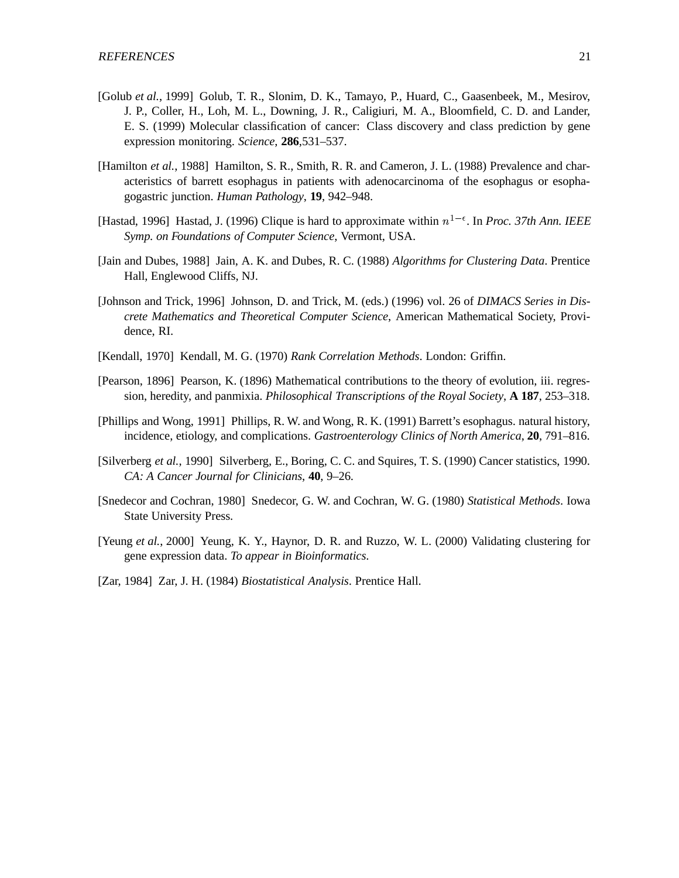- [Golub *et al.*, 1999] Golub, T. R., Slonim, D. K., Tamayo, P., Huard, C., Gaasenbeek, M., Mesirov, J. P., Coller, H., Loh, M. L., Downing, J. R., Caligiuri, M. A., Bloomfield, C. D. and Lander, E. S. (1999) Molecular classification of cancer: Class discovery and class prediction by gene expression monitoring. *Science*, **286**,531–537.
- [Hamilton et al., 1988] Hamilton, S. R., Smith, R. R. and Cameron, J. L. (1988) Prevalence and characteristics of barrett esophagus in patients with adenocarcinoma of the esophagus or esophagogastric junction. *Human Pathology*, **19**, 942–948.
- [Hastad, 1996] Hastad, J. (1996) Clique is hard to approximate within  $n^{1-\epsilon}$ . In *Proc.* 37th Ann. IEEE *Symp. on Foundations of Computer Science*, Vermont, USA.
- [Jain and Dubes, 1988] Jain, A. K. and Dubes, R. C. (1988) *Algorithms for Clustering Data*. Prentice Hall, Englewood Cliffs, NJ.
- [Johnson and Trick, 1996] Johnson, D. and Trick, M. (eds.) (1996) vol. 26 of *DIMACS Series in Discrete Mathematics and Theoretical Computer Science*, American Mathematical Society, Providence, RI.
- [Kendall, 1970] Kendall, M. G. (1970) *Rank Correlation Methods*. London: Griffin.
- [Pearson, 1896] Pearson, K. (1896) Mathematical contributions to the theory of evolution, iii. regression, heredity, and panmixia. *Philosophical Transcriptions of the Royal Society*, **A 187**, 253–318.
- [Phillips and Wong, 1991] Phillips, R. W. and Wong, R. K. (1991) Barrett's esophagus. natural history, incidence, etiology, and complications. *Gastroenterology Clinics of North America*, **20**, 791–816.
- [Silverberg *et al.*, 1990] Silverberg, E., Boring, C. C. and Squires, T. S. (1990) Cancer statistics, 1990. *CA: A Cancer Journal for Clinicians*, **40**, 9–26.
- [Snedecor and Cochran, 1980] Snedecor, G. W. and Cochran, W. G. (1980) *Statistical Methods*. Iowa State University Press.
- [Yeung *et al.*, 2000] Yeung, K. Y., Haynor, D. R. and Ruzzo, W. L. (2000) Validating clustering for gene expression data. *To appear in Bioinformatics*.
- [Zar, 1984] Zar, J. H. (1984) *Biostatistical Analysis*. Prentice Hall.